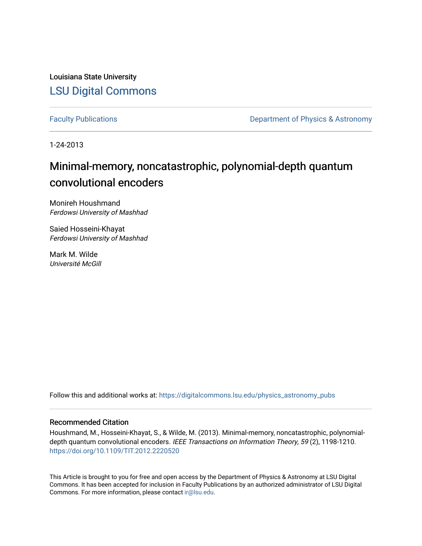Louisiana State University [LSU Digital Commons](https://digitalcommons.lsu.edu/)

[Faculty Publications](https://digitalcommons.lsu.edu/physics_astronomy_pubs) **Exercise 2 and Table 2 and Table 2 and Table 2 and Table 2 and Table 2 and Table 2 and Table 2 and Table 2 and Table 2 and Table 2 and Table 2 and Table 2 and Table 2 and Table 2 and Table 2 and Table** 

1-24-2013

# Minimal-memory, noncatastrophic, polynomial-depth quantum convolutional encoders

Monireh Houshmand Ferdowsi University of Mashhad

Saied Hosseini-Khayat Ferdowsi University of Mashhad

Mark M. Wilde Université McGill

Follow this and additional works at: [https://digitalcommons.lsu.edu/physics\\_astronomy\\_pubs](https://digitalcommons.lsu.edu/physics_astronomy_pubs?utm_source=digitalcommons.lsu.edu%2Fphysics_astronomy_pubs%2F5722&utm_medium=PDF&utm_campaign=PDFCoverPages) 

# Recommended Citation

Houshmand, M., Hosseini-Khayat, S., & Wilde, M. (2013). Minimal-memory, noncatastrophic, polynomialdepth quantum convolutional encoders. IEEE Transactions on Information Theory, 59 (2), 1198-1210. <https://doi.org/10.1109/TIT.2012.2220520>

This Article is brought to you for free and open access by the Department of Physics & Astronomy at LSU Digital Commons. It has been accepted for inclusion in Faculty Publications by an authorized administrator of LSU Digital Commons. For more information, please contact [ir@lsu.edu](mailto:ir@lsu.edu).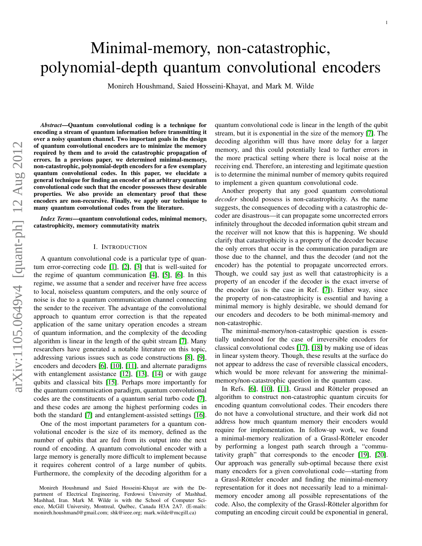# Minimal-memory, non-catastrophic, polynomial-depth quantum convolutional encoders

Monireh Houshmand, Saied Hosseini-Khayat, and Mark M. Wilde

*Abstract*—Quantum convolutional coding is a technique for encoding a stream of quantum information before transmitting it over a noisy quantum channel. Two important goals in the design of quantum convolutional encoders are to minimize the memory required by them and to avoid the catastrophic propagation of errors. In a previous paper, we determined minimal-memory, non-catastrophic, polynomial-depth encoders for a few exemplary quantum convolutional codes. In this paper, we elucidate a general technique for finding an encoder of an arbitrary quantum convolutional code such that the encoder possesses these desirable properties. We also provide an elementary proof that these encoders are non-recursive. Finally, we apply our technique to many quantum convolutional codes from the literature.

*Index Terms*—quantum convolutional codes, minimal memory, catastrophicity, memory commutativity matrix

#### I. INTRODUCTION

A quantum convolutional code is a particular type of quantum error-correcting code [\[1\]](#page-13-0), [\[2\]](#page-13-1), [\[3\]](#page-13-2) that is well-suited for the regime of quantum communication [\[4\]](#page-13-3), [\[5\]](#page-13-4), [\[6\]](#page-13-5). In this regime, we assume that a sender and receiver have free access to local, noiseless quantum computers, and the only source of noise is due to a quantum communication channel connecting the sender to the receiver. The advantage of the convolutional approach to quantum error correction is that the repeated application of the same unitary operation encodes a stream of quantum information, and the complexity of the decoding algorithm is linear in the length of the qubit stream [\[7\]](#page-13-6). Many researchers have generated a notable literature on this topic, addressing various issues such as code constructions [\[8\]](#page-13-7), [\[9\]](#page-13-8), encoders and decoders [\[6\]](#page-13-5), [\[10\]](#page-13-9), [\[11\]](#page-13-10), and alternate paradigms with entanglement assistance [\[12\]](#page-13-11), [\[13\]](#page-13-12), [\[14\]](#page-13-13) or with gauge qubits and classical bits [\[15\]](#page-13-14). Perhaps more importantly for the quantum communication paradigm, quantum convolutional codes are the constituents of a quantum serial turbo code [\[7\]](#page-13-6), and these codes are among the highest performing codes in both the standard [\[7\]](#page-13-6) and entanglement-assisted settings [\[16\]](#page-13-15).

One of the most important parameters for a quantum convolutional encoder is the size of its memory, defined as the number of qubits that are fed from its output into the next round of encoding. A quantum convolutional encoder with a large memory is generally more difficult to implement because it requires coherent control of a large number of qubits. Furthermore, the complexity of the decoding algorithm for a

quantum convolutional code is linear in the length of the qubit stream, but it is exponential in the size of the memory [\[7\]](#page-13-6). The decoding algorithm will thus have more delay for a larger memory, and this could potentially lead to further errors in the more practical setting where there is local noise at the receiving end. Therefore, an interesting and legitimate question is to determine the minimal number of memory qubits required to implement a given quantum convolutional code.

1

Another property that any good quantum convolutional *decoder* should possess is non-catastrophicity. As the name suggests, the consequences of decoding with a catastrophic decoder are disastrous—it can propagate some uncorrected errors infinitely throughout the decoded information qubit stream and the receiver will not know that this is happening. We should clarify that catastrophicity is a property of the decoder because the only errors that occur in the communication paradigm are those due to the channel, and thus the decoder (and not the encoder) has the potential to propagate uncorrected errors. Though, we could say just as well that catastrophicity is a property of an encoder if the decoder is the exact inverse of the encoder (as is the case in Ref. [\[7\]](#page-13-6)). Either way, since the property of non-catastrophicity is essential and having a minimal memory is highly desirable, we should demand for our encoders and decoders to be both minimal-memory and non-catastrophic.

The minimal-memory/non-catastrophic question is essentially understood for the case of irreversible encoders for classical convolutional codes [\[17\]](#page-13-16), [\[18\]](#page-13-17) by making use of ideas in linear system theory. Though, these results at the surface do not appear to address the case of reversible classical encoders, which would be more relevant for answering the minimalmemory/non-catastrophic question in the quantum case.

In Refs.  $[6]$ ,  $[10]$ ,  $[11]$ , Grassl and Rötteler proposed an algorithm to construct non-catastrophic quantum circuits for encoding quantum convolutional codes. Their encoders there do not have a convolutional structure, and their work did not address how much quantum memory their encoders would require for implementation. In follow-up work, we found a minimal-memory realization of a Grassl-Rötteler encoder by performing a longest path search through a "commutativity graph" that corresponds to the encoder [\[19\]](#page-13-18), [\[20\]](#page-13-19). Our approach was generally sub-optimal because there exist many encoders for a given convolutional code—starting from a Grassl-Rötteler encoder and finding the minimal-memory representation for it does not necessarily lead to a minimalmemory encoder among all possible representations of the code. Also, the complexity of the Grassl-Rötteler algorithm for computing an encoding circuit could be exponential in general,

Monireh Houshmand and Saied Hosseini-Khayat are with the Department of Electrical Engineering, Ferdowsi University of Mashhad, Mashhad, Iran. Mark M. Wilde is with the School of Computer Science, McGill University, Montreal, Québec, Canada H3A 2A7. (E-mails: monireh.houshmand@gmail.com; shk@ieee.org; mark.wilde@mcgill.ca)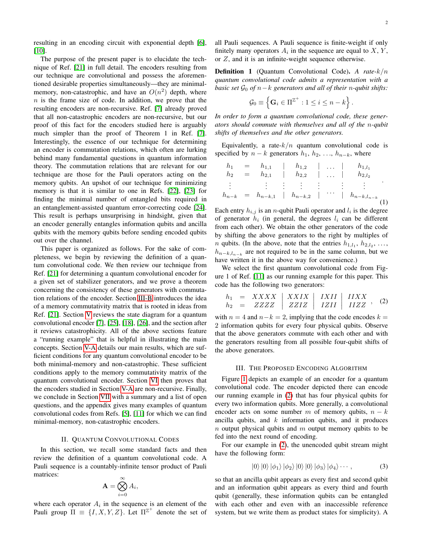resulting in an encoding circuit with exponential depth [\[6\]](#page-13-5), [\[10\]](#page-13-9).

The purpose of the present paper is to elucidate the technique of Ref. [\[21\]](#page-13-20) in full detail. The encoders resulting from our technique are convolutional and possess the aforementioned desirable properties simultaneously—they are minimalmemory, non-catastrophic, and have an  $O(n^2)$  depth, where  $n$  is the frame size of code. In addition, we prove that the resulting encoders are non-recursive. Ref. [\[7\]](#page-13-6) already proved that all non-catastrophic encoders are non-recursive, but our proof of this fact for the encoders studied here is arguably much simpler than the proof of Theorem 1 in Ref. [\[7\]](#page-13-6). Interestingly, the essence of our technique for determining an encoder is commutation relations, which often are lurking behind many fundamental questions in quantum information theory. The commutation relations that are relevant for our technique are those for the Pauli operators acting on the memory qubits. An upshot of our technique for minimizing memory is that it is similar to one in Refs. [\[22\]](#page-13-21), [\[23\]](#page-13-22) for finding the minimal number of entangled bits required in an entanglement-assisted quantum error-correcting code [\[24\]](#page-13-23). This result is perhaps unsurprising in hindsight, given that an encoder generally entangles information qubits and ancilla qubits with the memory qubits before sending encoded qubits out over the channel.

This paper is organized as follows. For the sake of completeness, we begin by reviewing the definition of a quantum convolutional code. We then review our technique from Ref. [\[21\]](#page-13-20) for determining a quantum convolutional encoder for a given set of stabilizer generators, and we prove a theorem concerning the consistency of these generators with commutation relations of the encoder. Section [III-B](#page-4-0) introduces the idea of a memory commutativity matrix that is rooted in ideas from Ref. [\[21\]](#page-13-20). Section [V](#page-7-0) reviews the state diagram for a quantum convolutional encoder [\[7\]](#page-13-6), [\[25\]](#page-13-24), [\[18\]](#page-13-17), [\[26\]](#page-13-25), and the section after it reviews catastrophicity. All of the above sections feature a "running example" that is helpful in illustrating the main concepts. Section [V-A](#page-9-0) details our main results, which are sufficient conditions for any quantum convolutional encoder to be both minimal-memory and non-catastrophic. These sufficient conditions apply to the memory commutativity matrix of the quantum convolutional encoder. Section [VI](#page-11-0) then proves that the encoders studied in Section [V-A](#page-9-0) are non-recursive. Finally, we conclude in Section [VII](#page-12-0) with a summary and a list of open questions, and the appendix gives many examples of quantum convolutional codes from Refs. [\[5\]](#page-13-4), [\[11\]](#page-13-10) for which we can find minimal-memory, non-catastrophic encoders.

#### II. QUANTUM CONVOLUTIONAL CODES

In this section, we recall some standard facts and then review the definition of a quantum convolutional code. A Pauli sequence is a countably-infinite tensor product of Pauli matrices:

$$
\mathbf{A} = \bigotimes_{i=0}^{\infty} A_i,
$$

where each operator  $A_i$  in the sequence is an element of the Pauli group  $\Pi = \{I, X, Y, Z\}$ . Let  $\Pi^{\mathbb{Z}^+}$  denote the set of all Pauli sequences. A Pauli sequence is finite-weight if only finitely many operators  $A_i$  in the sequence are equal to  $X, Y$ , or Z, and it is an infinite-weight sequence otherwise.

<span id="page-2-3"></span>Definition 1 (Quantum Convolutional Code). *A rate-*k/n *quantum convolutional code admits a representation with a basic set*  $\mathcal{G}_0$  *of*  $n-k$  *generators and all of their n-qubit shifts:* 

$$
\mathcal{G}_0 \equiv \left\{ \mathbf{G}_i \in \Pi^{\mathbb{Z}^+} : 1 \leq i \leq n-k \right\}.
$$

*In order to form a quantum convolutional code, these generators should commute with themselves and all of the* n*-qubit shifts of themselves and the other generators.*

Equivalently, a rate- $k/n$  quantum convolutional code is specified by  $n - k$  generators  $h_1, h_2, \ldots, h_{n-k}$ , where

<span id="page-2-2"></span>
$$
h_1 = h_{1,1} \mid h_{1,2} \mid \dots \mid h_{1,l_1}
$$
  
\n
$$
h_2 = h_{2,1} \mid h_{2,2} \mid \dots \mid h_{2,l_2}
$$
  
\n
$$
\vdots \qquad \vdots \qquad \vdots \qquad \vdots \qquad \vdots
$$
  
\n
$$
h_{n-k} = h_{n-k,1} \mid h_{n-k,2} \mid \dots \mid h_{n-k,l_{n-k}}
$$
  
\n(1)

Each entry  $h_{i,j}$  is an *n*-qubit Pauli operator and  $l_i$  is the degree of generator  $h_i$  (in general, the degrees  $l_i$  can be different from each other). We obtain the other generators of the code by shifting the above generators to the right by multiples of *n* qubits. (In the above, note that the entries  $h_{1,l_1}, h_{2,l_2}, \ldots$ ,  $h_{n-k,l_{n-k}}$  are not required to be in the same column, but we have written it in the above way for convenience.)

We select the first quantum convolutional code from Figure 1 of Ref. [\[11\]](#page-13-10) as our running example for this paper. This code has the following two generators:

<span id="page-2-0"></span>
$$
\begin{array}{rcl}\nh_1 & = & XXXX \\
h_2 & = & ZZZZ \\
\end{array}\n\begin{array}{rcl}\nXXIX & XIIX \\
ZZIZ & IZII\n\end{array}\n\begin{array}{rcl}\nIXII & IIXX \\
IIZI & IIZZ\n\end{array},\n\tag{2}
$$

with  $n = 4$  and  $n - k = 2$ , implying that the code encodes  $k =$ 2 information qubits for every four physical qubits. Observe that the above generators commute with each other and with the generators resulting from all possible four-qubit shifts of the above generators.

#### III. THE PROPOSED ENCODING ALGORITHM

Figure [1](#page-3-0) depicts an example of an encoder for a quantum convolutional code. The encoder depicted there can encode our running example in [\(2\)](#page-2-0) that has four physical qubits for every two information qubits. More generally, a convolutional encoder acts on some number m of memory qubits,  $n - k$ ancilla qubits, and  $k$  information qubits, and it produces  $n$  output physical qubits and  $m$  output memory qubits to be fed into the next round of encoding.

For our example in [\(2\)](#page-2-0), the unencoded qubit stream might have the following form:

<span id="page-2-1"></span>
$$
|0\rangle |0\rangle |\phi_1\rangle |\phi_2\rangle |0\rangle |0\rangle |\phi_3\rangle |\phi_4\rangle \cdots , \qquad (3)
$$

so that an ancilla qubit appears as every first and second qubit and an information qubit appears as every third and fourth qubit (generally, these information qubits can be entangled with each other and even with an inaccessible reference system, but we write them as product states for simplicity). A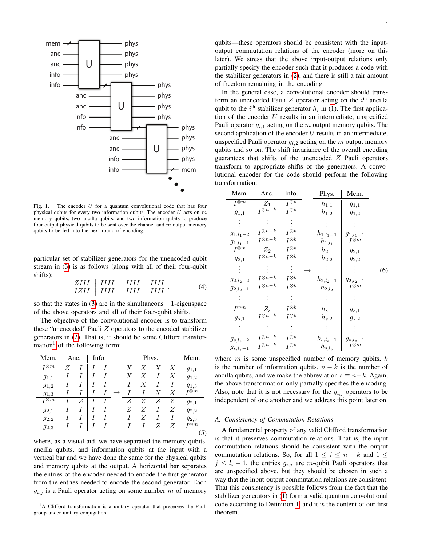

<span id="page-3-0"></span>Fig. 1. The encoder  $U$  for a quantum convolutional code that has four physical qubits for every two information qubits. The encoder  $U$  acts on  $m$ memory qubits, two ancilla qubits, and two information qubits to produce four output physical qubits to be sent over the channel and  $m$  output memory qubits to be fed into the next round of encoding.

particular set of stabilizer generators for the unencoded qubit stream in [\(3\)](#page-2-1) is as follows (along with all of their four-qubit shifts):

$$
\begin{array}{c|c|c|c} ZIII & III & III & III \\ IZII & III & III & III \end{array}
$$
 (4)

so that the states in  $(3)$  are in the simultaneous  $+1$ -eigenspace of the above operators and all of their four-qubit shifts.

The objective of the convolutional encoder is to transform these "unencoded" Pauli Z operators to the encoded stabilizer generators in [\(2\)](#page-2-0). That is, it should be some Clifford transfor-mation<sup>[1](#page-3-1)</sup> of the following form:

<span id="page-3-3"></span>

| Mem.                       | Info.<br>Anc. |   |  |   | Phys. |   |   |   |   |                 |
|----------------------------|---------------|---|--|---|-------|---|---|---|---|-----------------|
| $\overline{I^{\otimes m}}$ | Ζ             |   |  |   |       | X |   |   | Х | $g_{1,1}$       |
| $g_{1,1}$                  |               |   |  | I |       | Х |   |   | Х | $g_{1,2}$       |
| $g_{1,2}$                  |               |   |  |   |       | 1 | Х |   | Ι | $g_{1,3}$       |
| $g_{1,3}$                  |               |   |  |   |       |   |   | Х | Х | $I^{\otimes m}$ |
| $\overline{I^{\otimes m}}$ |               | Ζ |  |   |       | Ζ | Ζ | Ζ | Ζ | $g_{2,1}$       |
| $g_{2,1}$                  |               |   |  |   |       | Ζ | Ζ |   | Ζ | $g_{2,2}$       |
| $g_{2,2}$                  |               |   |  |   |       |   | Ζ |   | I | $g_{2,3}$       |
| $g_{2,3}$                  |               |   |  |   |       |   |   | Ζ | Ζ | $I^{\otimes m}$ |
|                            |               |   |  |   |       |   |   |   |   | 5)              |

where, as a visual aid, we have separated the memory qubits, ancilla qubits, and information qubits at the input with a vertical bar and we have done the same for the physical qubits and memory qubits at the output. A horizontal bar separates the entries of the encoder needed to encode the first generator from the entries needed to encode the second generator. Each  $g_{i,j}$  is a Pauli operator acting on some number m of memory

<span id="page-3-1"></span><sup>1</sup>A Clifford transformation is a unitary operator that preserves the Pauli group under unitary conjugation.

qubits—these operators should be consistent with the inputoutput commutation relations of the encoder (more on this later). We stress that the above input-output relations only partially specify the encoder such that it produces a code with the stabilizer generators in [\(2\)](#page-2-0), and there is still a fair amount of freedom remaining in the encoding.

In the general case, a convolutional encoder should transform an unencoded Pauli  $Z$  operator acting on the  $i<sup>th</sup>$  ancilla qubit to the  $i<sup>th</sup>$  stabilizer generator  $h_i$  in [\(1\)](#page-2-2). The first application of the encoder  $U$  results in an intermediate, unspecified Pauli operator  $q_{i,1}$  acting on the m output memory qubits. The second application of the encoder  $U$  results in an intermediate, unspecified Pauli operator  $g_{i,2}$  acting on the m output memory qubits and so on. The shift invariance of the overall encoding guarantees that shifts of the unencoded  $Z$  Pauli operators transform to appropriate shifts of the generators. A convolutional encoder for the code should perform the following transformation:

<span id="page-3-2"></span>

| Mem.                       | Anc.              | Info.                      |               | Phys.                    | Mem.                 |     |
|----------------------------|-------------------|----------------------------|---------------|--------------------------|----------------------|-----|
| $\overline{I^{\otimes m}}$ | $\mathbb{Z}_1$    | $\overline{I^{\otimes k}}$ |               | $h_{1,1}$                | $g_{1,1}$            |     |
| $g_{1,1}$                  | $I^{\otimes n-k}$ | $I^{\otimes k}$            |               | $h_{1,2}$                | $g_{1,2}$            |     |
|                            |                   |                            |               |                          |                      |     |
| $g_{1,l_1-2}$              | $I^{\otimes n-k}$ | $I^{\otimes k}$            |               | $h_{1,l_1-1}$            | $g_{1,l_1-1}$        |     |
| $g_{1,l_1-1}$              | $I^{\otimes n-k}$ | $I^{\otimes k}$            |               | $h_{1,\underline{l_1}}$  | $I^{\bar{\otimes}m}$ |     |
| $\bar{I}^{\otimes m}$      | $Z_2$             | $\overline{I^{\otimes k}}$ |               | $h_{2,1}$                | $g_{2,1}$            |     |
| $g_{2,1}$                  | $I^{\otimes n-k}$ | $I^{\otimes k}$            |               | $h_{2,2}$                | $g_{2,2}$            |     |
|                            |                   |                            | $\rightarrow$ |                          |                      | (6) |
| $g_{2,l_2-2}$              | $I^{\otimes n-k}$ | $I^{\otimes k}$            |               | $h_{2,l_2-1}$            | $g_{2,l_2-1}$        |     |
| $g_{2, l_2-1}$             | $I^{\otimes n-k}$ | $I^{\otimes k}$            |               | $h_{2,\underline{l_2}}$  | $I^{\otimes m}$      |     |
|                            |                   |                            |               |                          |                      |     |
| $\overline{I^{\otimes m}}$ | $\overline{Z_s}$  | $\overline{I^{\otimes k}}$ |               | $h_{s,1}$                | $g_{s,1}$            |     |
| $g_{s,1}$                  | $I^{\otimes n-k}$ | $I^{\otimes k}$            |               | $\mathfrak{h}_{s,2}$     | $g_{s,2}$            |     |
|                            |                   |                            |               |                          |                      |     |
| $g_{s,l_s-2}$              | $I^{\otimes n-k}$ | $I^{\otimes k}$            |               | $h_{s,l_s-1}$            | $g_{s,l_s-1}$        |     |
| $g_{s,l_s-1}$              | $I^{\otimes n-k}$ | $I^{\otimes k}$            |               | $h_{s,\boldsymbol{l}_s}$ | $I^{\otimes m}$      |     |

where  $m$  is some unspecified number of memory qubits,  $k$ is the number of information qubits,  $n - k$  is the number of ancilla qubits, and we make the abbreviation  $s \equiv n-k$ . Again, the above transformation only partially specifies the encoding. Also, note that it is not necessary for the  $g_{i,j}$  operators to be independent of one another and we address this point later on.

#### *A. Consistency of Commutation Relations*

A fundamental property of any valid Clifford transformation is that it preserves commutation relations. That is, the input commutation relations should be consistent with the output commutation relations. So, for all  $1 \leq i \leq n - k$  and  $1 \leq$  $j \leq l_i - 1$ , the entries  $g_{i,j}$  are m-qubit Pauli operators that are unspecified above, but they should be chosen in such a way that the input-output commutation relations are consistent. That this consistency is possible follows from the fact that the stabilizer generators in [\(1\)](#page-2-2) form a valid quantum convolutional code according to Definition [1,](#page-2-3) and it is the content of our first theorem.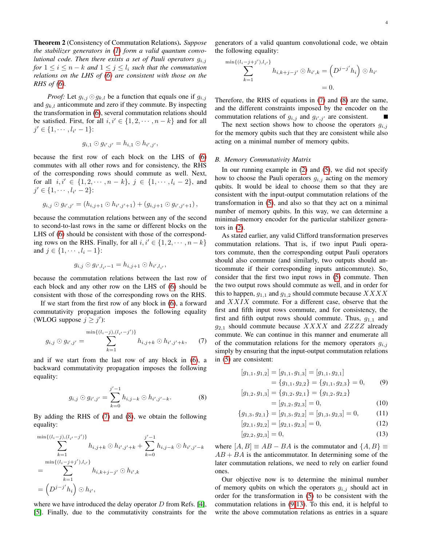Theorem 2 (Consistency of Commutation Relations). *Suppose the stabilizer generators in [\(1\)](#page-2-2) form a valid quantum convolutional code. Then there exists a set of Pauli operators*  $g_{i,j}$ *for*  $1 \leq i \leq n - k$  *and*  $1 \leq j \leq l_i$  *such that the commutation relations on the LHS of [\(6\)](#page-3-2) are consistent with those on the RHS of [\(6\)](#page-3-2).* 

*Proof:* Let  $g_{i,j} \odot g_{k,l}$  be a function that equals one if  $g_{i,j}$ and  $g_{k,l}$  anticommute and zero if they commute. By inspecting the transformation in [\(6\)](#page-3-2), several commutation relations should be satisfied. First, for all  $i, i' \in \{1, 2, \dots, n - k\}$  and for all  $j' \in \{1, \cdots, l_{i'}-1\}$ :

$$
g_{i,1} \odot g_{i',j'} = h_{i,1} \odot h_{i',j'},
$$

because the first row of each block on the LHS of [\(6\)](#page-3-2) commutes with all other rows and for consistency, the RHS of the corresponding rows should commute as well. Next, for all  $i, i' \in \{1, 2, \dots, n-k\}, j \in \{1, \dots, l_i-2\},$  and  $j' \in \{1, \cdots, l_{i'}-2\}$ :

$$
g_{i,j} \odot g_{i',j'} = (h_{i,j+1} \odot h_{i',j'+1}) + (g_{i,j+1} \odot g_{i',j'+1}),
$$

because the commutation relations between any of the second to second-to-last rows in the same or different blocks on the LHS of [\(6\)](#page-3-2) should be consistent with those of the corresponding rows on the RHS. Finally, for all  $i, i' \in \{1, 2, \dots, n - k\}$ and  $j \in \{1, \dots, l_i - 1\}$ :

$$
g_{i,j} \odot g_{i',l_{i'}-1} = h_{i,j+1} \odot h_{i',l_{i'}},
$$

because the commutation relations between the last row of each block and any other row on the LHS of [\(6\)](#page-3-2) should be consistent with those of the corresponding rows on the RHS.

If we start from the first row of any block in [\(6\)](#page-3-2), a forward commutativity propagation imposes the following equality (WLOG suppose  $j \geq j'$ ):

<span id="page-4-1"></span>
$$
g_{i,j} \odot g_{i',j'} = \sum_{k=1}^{\min\{(l_i-j),(l_{i'}-j')\}} h_{i,j+k} \odot h_{i',j'+k}, \quad (7)
$$

and if we start from the last row of any block in [\(6\)](#page-3-2), a backward commutativity propagation imposes the following equality:

<span id="page-4-2"></span>
$$
g_{i,j} \odot g_{i',j'} = \sum_{k=0}^{j'-1} h_{i,j-k} \odot h_{i',j'-k}.
$$
 (8)

By adding the RHS of [\(7\)](#page-4-1) and [\(8\)](#page-4-2), we obtain the following equality:

$$
\min\{(l_i-j),(l_{i'}-j')\}\n\sum_{k=1}^{k=1} h_{i,j+k} \odot h_{i',j'+k} + \sum_{k=0}^{j'-1} h_{i,j-k} \odot h_{i',j'-k}
$$
\n
$$
= \sum_{k=1}^{\min\{(l_i-j+j'),l_{i'}\}} h_{i,k+j-j'} \odot h_{i',k}
$$
\n
$$
= (D^{j-j'}h_i) \odot h_{i'},
$$

where we have introduced the delay operator  $D$  from Refs. [\[4\]](#page-13-3), [\[5\]](#page-13-4). Finally, due to the commutativity constraints for the

generators of a valid quantum convolutional code, we obtain the following equality:

$$
\sum_{k=1}^{\min\{(l_i-j+j'),l_{i'}\}} h_{i,k+j-j'} \odot h_{i',k} = \left(D^{j-j'}h_i\right) \odot h_{i'}
$$
  
= 0.

Therefore, the RHS of equations in [\(7\)](#page-4-1) and [\(8\)](#page-4-2) are the same, and the different constraints imposed by the encoder on the commutation relations of  $g_{i,j}$  and  $g_{i',j'}$  are consistent.

The next section shows how to choose the operators  $g_{i,j}$ for the memory qubits such that they are consistent while also acting on a minimal number of memory qubits.

#### <span id="page-4-0"></span>*B. Memory Commutativity Matrix*

In our running example in  $(2)$  and  $(5)$ , we did not specify how to choose the Pauli operators  $g_{i,j}$  acting on the memory qubits. It would be ideal to choose them so that they are consistent with the input-output commutation relations of the transformation in [\(5\)](#page-3-3), and also so that they act on a minimal number of memory qubits. In this way, we can determine a minimal-memory encoder for the particular stabilizer generators in  $(2)$ .

As stated earlier, any valid Clifford transformation preserves commutation relations. That is, if two input Pauli operators commute, then the corresponding output Pauli operators should also commute (and similarly, two outputs should anticommute if their corresponding inputs anticommute). So, consider that the first two input rows in [\(5\)](#page-3-3) commute. Then the two output rows should commute as well, and in order for this to happen,  $g_{1,1}$  and  $g_{1,2}$  should commute because  $XXXX$ and XXIX commute. For a different case, observe that the first and fifth input rows commute, and for consistency, the first and fifth output rows should commute. Thus,  $g_{1,1}$  and  $g_{2,1}$  should commute because  $XXXX$  and  $ZZZZ$  already commute. We can continue in this manner and enumerate all of the commutation relations for the memory operators  $g_{i,j}$ simply by ensuring that the input-output commutation relations in [\(5\)](#page-3-3) are consistent:

$$
[g_{1,1}, g_{1,2}] = [g_{1,1}, g_{1,3}] = [g_{1,1}, g_{2,1}]
$$
  
=  $\{g_{1,1}, g_{2,2}\} = \{g_{1,1}, g_{2,3}\} = 0,$  (9)

$$
[g_{1,2}, g_{1,3}] = \{g_{1,2}, g_{2,1}\} = \{g_{1,2}, g_{2,2}\}
$$

<span id="page-4-4"></span><span id="page-4-3"></span>
$$
= [g_{1,2}, g_{2,3}] = 0, \tag{10}
$$

$$
\{g_{1,3}, g_{2,1}\} = [g_{1,3}, g_{2,2}] = [g_{1,3}, g_{2,3}] = 0,\tag{11}
$$

$$
[g_{2,1}, g_{2,2}] = [g_{2,1}, g_{2,3}] = 0,
$$
\n(12)

$$
[g_{2,2}, g_{2,3}] = 0,\t(13)
$$

where  $[A, B] \equiv AB - BA$  is the commutator and  $\{A, B\} \equiv$  $AB + BA$  is the anticommutator. In determining some of the later commutation relations, we need to rely on earlier found ones.

Our objective now is to determine the minimal number of memory qubits on which the operators  $g_{i,j}$  should act in order for the transformation in [\(5\)](#page-3-3) to be consistent with the commutation relations in [\(9-](#page-4-3)[13\)](#page-4-4). To this end, it is helpful to write the above commutation relations as entries in a square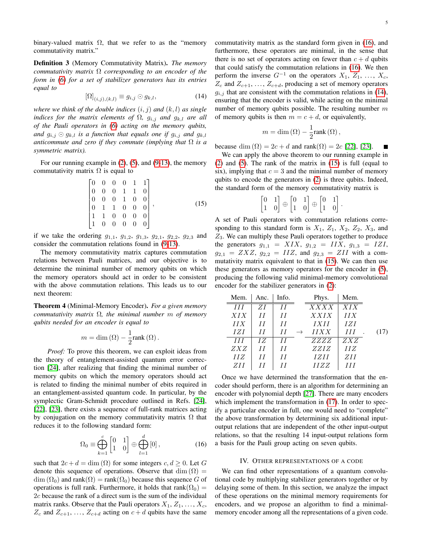binary-valued matrix  $\Omega$ , that we refer to as the "memory" commutativity matrix."

Definition 3 (Memory Commutativity Matrix). *The memory commutativity matrix* Ω *corresponding to an encoder of the form in [\(6\)](#page-3-2) for a set of stabilizer generators has its entries equal to*

<span id="page-5-1"></span>
$$
[\Omega]_{(i,j),(k,l)} \equiv g_{i,j} \odot g_{k,l},\tag{14}
$$

*where we think of the double indices*  $(i, j)$  *and*  $(k, l)$  *as single indices for the matrix elements of*  $\Omega$ ,  $g_{i,j}$  *and*  $g_{k,l}$  *are all of the Pauli operators in [\(6\)](#page-3-2) acting on the memory qubits,* and  $g_{i,j} \odot g_{k,l}$  *is a function that equals one if*  $g_{i,j}$  *and*  $g_{k,l}$ *anticommute and zero if they commute (implying that*  $\Omega$  *is a symmetric matrix).*

For our running example in  $(2)$ ,  $(5)$ , and  $(9-13)$  $(9-13)$ , the memory commutativity matrix  $\Omega$  is equal to

<span id="page-5-2"></span>
$$
\begin{bmatrix} 0 & 0 & 0 & 0 & 1 & 1 \\ 0 & 0 & 0 & 1 & 1 & 0 \\ 0 & 0 & 0 & 1 & 0 & 0 \\ 0 & 1 & 1 & 0 & 0 & 0 \\ 1 & 1 & 0 & 0 & 0 & 0 \\ 1 & 0 & 0 & 0 & 0 & 0 \end{bmatrix},
$$
 (15)

if we take the ordering  $g_{1,1}$ ,  $g_{1,2}$ ,  $g_{1,3}$ ,  $g_{2,1}$ ,  $g_{2,2}$ ,  $g_{2,3}$  and consider the commutation relations found in [\(9](#page-4-3)[-13\)](#page-4-4).

The memory commutativity matrix captures commutation relations between Pauli matrices, and our objective is to determine the minimal number of memory qubits on which the memory operators should act in order to be consistent with the above commutation relations. This leads us to our next theorem:

<span id="page-5-4"></span>Theorem 4 (Minimal-Memory Encoder). *For a given memory commutativity matrix* Ω*, the minimal number* m *of memory qubits needed for an encoder is equal to*

$$
m = \dim(\Omega) - \frac{1}{2} \text{rank}(\Omega).
$$

*Proof:* To prove this theorem, we can exploit ideas from the theory of entanglement-assisted quantum error correction [\[24\]](#page-13-23), after realizing that finding the minimal number of memory qubits on which the memory operators should act is related to finding the minimal number of ebits required in an entanglement-assisted quantum code. In particular, by the symplectic Gram-Schmidt procedure outlined in Refs. [\[24\]](#page-13-23), [\[22\]](#page-13-21), [\[23\]](#page-13-22), there exists a sequence of full-rank matrices acting by conjugation on the memory commutativity matrix  $\Omega$  that reduces it to the following standard form:

<span id="page-5-0"></span>
$$
\Omega_0 \equiv \bigoplus_{k=1}^c \begin{bmatrix} 0 & 1 \\ 1 & 0 \end{bmatrix} \oplus \bigoplus_{l=1}^d [0], \qquad (16)
$$

such that  $2c + d = \dim(\Omega)$  for some integers  $c, d \geq 0$ . Let G denote this sequence of operations. Observe that  $\dim(\Omega) =$  $\dim(\Omega_0)$  and rank $(\Omega)$  = rank $(\Omega_0)$  because this sequence G of operations is full rank. Furthermore, it holds that rank $(\Omega_0)$  = 2c because the rank of a direct sum is the sum of the individual matrix ranks. Observe that the Pauli operators  $X_1, Z_1, \ldots, X_c$ ,  $Z_c$  and  $Z_{c+1}, \ldots, Z_{c+d}$  acting on  $c+d$  qubits have the same commutativity matrix as the standard form given in [\(16\)](#page-5-0), and furthermore, these operators are minimal, in the sense that there is no set of operators acting on fewer than  $c + d$  qubits that could satisfy the commutation relations in [\(16\)](#page-5-0). We then perform the inverse  $G^{-1}$  on the operators  $X_1, Z_1, \ldots, X_c$ ,  $Z_c$  and  $Z_{c+1}, \ldots, Z_{c+d}$ , producing a set of memory operators  $g_{i,j}$  that are consistent with the commutation relations in [\(14\)](#page-5-1), ensuring that the encoder is valid, while acting on the minimal number of memory qubits possible. The resulting number  $m$ of memory qubits is then  $m = c + d$ , or equivalently,

$$
m = \dim\left(\Omega\right) - \frac{1}{2} \text{rank}\left(\Omega\right),
$$

because dim  $(\Omega) = 2c + d$  and rank $(\Omega) = 2c$  [\[22\]](#page-13-21), [\[23\]](#page-13-22).

We can apply the above theorem to our running example in [\(2\)](#page-2-0) and [\(5\)](#page-3-3). The rank of the matrix in [\(15\)](#page-5-2) is full (equal to six), implying that  $c = 3$  and the minimal number of memory qubits to encode the generators in [\(2\)](#page-2-0) is three qubits. Indeed, the standard form of the memory commutativity matrix is

$$
\begin{bmatrix} 0 & 1 \\ 1 & 0 \end{bmatrix} \oplus \begin{bmatrix} 0 & 1 \\ 1 & 0 \end{bmatrix} \oplus \begin{bmatrix} 0 & 1 \\ 1 & 0 \end{bmatrix}
$$

.

A set of Pauli operators with commutation relations corresponding to this standard form is  $X_1$ ,  $Z_1$ ,  $X_2$ ,  $Z_2$ ,  $X_3$ , and  $Z_3$ . We can multiply these Pauli operators together to produce the generators  $g_{1,1} = XIX$ ,  $g_{1,2} = IIX$ ,  $g_{1,3} = IZI$ ,  $g_{2,1} = ZXZ, g_{2,2} = IIZ, \text{ and } g_{2,3} = ZII \text{ with a com-}$ mutativity matrix equivalent to that in [\(15\)](#page-5-2). We can then use these generators as memory operators for the encoder in [\(5\)](#page-3-3), producing the following valid minimal-memory convolutional encoder for the stabilizer generators in [\(2\)](#page-2-0):

<span id="page-5-3"></span>

| Mem. | Anc. | Info. | Phys.       | Mem.       |      |
|------|------|-------|-------------|------------|------|
| III  | ZΙ   | II    | <i>XXXX</i> | XIX        |      |
| XIX  | II   | IΙ    | <i>XXIX</i> | IIX        |      |
| IIX  | H    | II    | <i>IXII</i> | I Z I      |      |
| IZI  | H    | IΙ    | IIXX        | <b>III</b> | (17) |
| III  | IΖ   | IΙ    | <i>ZZZZ</i> | ZXZ        |      |
| ZXZ  | IΙ   | H     | ZZIZ        | НZ         |      |
| НZ   | H    | H     | <i>IZH</i>  | ZH         |      |
| ZH   | II   | IΙ    | IIZZ        | HН         |      |

Once we have determined the transformation that the encoder should perform, there is an algorithm for determining an encoder with polynomial depth [\[27\]](#page-13-26). There are many encoders which implement the transformation in  $(17)$ . In order to specify a particular encoder in full, one would need to "complete" the above transformation by determining six additional inputoutput relations that are independent of the other input-output relations, so that the resulting 14 input-output relations form a basis for the Pauli group acting on seven qubits.

#### IV. OTHER REPRESENTATIONS OF A CODE

We can find other representations of a quantum convolutional code by multiplying stabilizer generators together or by delaying some of them. In this section, we analyze the impact of these operations on the minimal memory requirements for encoders, and we propose an algorithm to find a minimalmemory encoder among all the representations of a given code.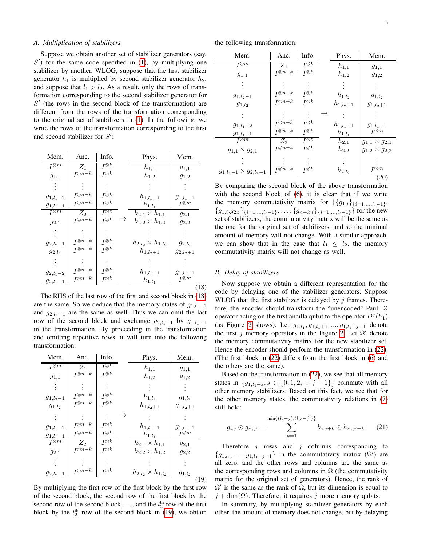#### *A. Multiplication of stabilizers*

Suppose we obtain another set of stabilizer generators (say,  $S'$ ) for the same code specified in [\(1\)](#page-2-2), by multiplying one stabilizer by another. WLOG, suppose that the first stabilizer generator  $h_1$  is multiplied by second stabilizer generator  $h_2$ , and suppose that  $l_1 > l_2$ . As a result, only the rows of transformation corresponding to the second stabilizer generator for  $S'$  (the rows in the second block of the transformation) are different from the rows of the transformation corresponding to the original set of stabilizers in [\(1\)](#page-2-2). In the following, we write the rows of the transformation corresponding to the first and second stabilizer for  $S'$ :

<span id="page-6-0"></span>

| Mem.                       | Anc.              | Info.                      | Phys.                        | Mem.            |
|----------------------------|-------------------|----------------------------|------------------------------|-----------------|
| $I^{\otimes m}$            | $Z_1$             | $I^{\bigotimes k}$         | $h_{1,1}$                    | $g_{1,1}$       |
| $g_{1,1}$                  | $I^{\otimes n-k}$ | $I^{\otimes k}$            | $h_{1,2}$                    | $g_{1,2}$       |
|                            |                   |                            |                              |                 |
| $g_{1,l_1-2}$              | $I^{\otimes n-k}$ | $I^{\otimes k}$            | $h_{1,l_1-1}$                | $g_{1,l_1-1}$   |
| $g_{1,l_1-1}$              | $I^{\otimes n-k}$ | $I^{\otimes k}$            | $h_{1,l_1}$                  | $I^{\otimes m}$ |
| $\overline{I^{\otimes m}}$ | $Z_2$             | $\overline{I^{\otimes k}}$ | $h_{2,1} \times h_{1,1}$     | $g_{2,1}$       |
| $g_{2,1}$                  | $I^{\otimes n-k}$ | $I^{\otimes k}$            | $h_{2,2} \times h_{1,2}$     | $g_{2,2}$       |
|                            |                   |                            |                              |                 |
| $g_{2,l_2-1}$              | $I^{\otimes n-k}$ | $I^{\otimes k}$            | $h_{2,l_2} \times h_{1,l_2}$ | $g_{2,l_2}$     |
| $g_{2,l_2}$                | $I^{\otimes n-k}$ | $I^{\otimes k}$            | $h_{1,l_2+1}$                | $g_{2,l_2+1}$   |
|                            |                   |                            |                              |                 |
| $g_{2,l_1-2}$              | $I^{\otimes n-k}$ | $I^{\otimes k}$            | $h_{1,l_1-1}$                | $g_{1,l_1-1}$   |
| $g_{2,l_1-1}$              | $I^{\otimes n-k}$ | $I^{\otimes k}$            | $h_{1,l_1}$                  | $I^{\otimes m}$ |
|                            |                   |                            |                              | (18)            |

The RHS of the last row of the first and second block in [\(18\)](#page-6-0) are the same. So we deduce that the memory states of  $g_{1,l_1-1}$ and  $g_{2,l_1-1}$  are the same as well. Thus we can omit the last row of the second block and exchange  $g_{2,l_1-1}$  by  $g_{1,l_1-1}$ in the transformation. By proceeding in the transformation and omitting repetitive rows, it will turn into the following transformation:

<span id="page-6-1"></span>

| Mem.                       | Anc.              | Info.                      |               | Phys.                        | Mem.            |
|----------------------------|-------------------|----------------------------|---------------|------------------------------|-----------------|
| $\overline{I^{\otimes m}}$ | $Z_1$             | $\overline{I^{\otimes k}}$ |               | $h_{1,1}$                    | $g_{1,1}$       |
| $g_{1,1}$                  | $I^{\otimes n-k}$ | $I^{\otimes k}$            |               | $h_{1,2}$                    | $g_{1,2}$       |
|                            |                   |                            |               |                              |                 |
| $g_{1,l_2-1}$              | $I^{\otimes n-k}$ | $I^{\otimes k}$            |               | $h_{1,l_2}$                  | $g_{1,l_2}$     |
| $g_{1,l_2}$                | $I^{\otimes n-k}$ | $I^{\otimes k}$            |               | $h_{1,l_2+1}$                | $g_{1,l_2+1}$   |
|                            |                   |                            | $\rightarrow$ |                              |                 |
| $g_{1,l_1-2}$              | $I^{\otimes n-k}$ | $I^{\otimes k}$            |               | $h_{1,l_1-1}$                | $g_{1,l_1-1}$   |
| $g_{1,l_1-1}$              | $I^{\otimes n-k}$ | $I^{\otimes k}$            |               | $h_{1,l_1}$                  | $I^{\otimes m}$ |
| $\overline{I^{\otimes m}}$ | $Z_2$             | $\overline{I^{\otimes k}}$ |               | $h_{2,1} \times h_{1,1}$     | $g_{2,1}$       |
| $g_{2,1}$                  | $I^{\otimes n-k}$ | $I^{\otimes k}$            |               | $h_{2,2} \times h_{1,2}$     | $g_{2,2}$       |
|                            |                   |                            |               |                              |                 |
| $g_{2,l_2-1}$              | $I^{\otimes n-k}$ | $I^{\otimes k}$            |               | $h_{2,l_2} \times h_{1,l_2}$ | $g_{1,l_2}$     |
|                            |                   |                            |               |                              | (19)            |

By multiplying the first row of the first block by the first row of the second block, the second row of the first block by the second row of the second block, ..., and the  $l_2^{\text{th}}$  row of the first block by the  $l_2^{\text{th}}$  row of the second block in [\(19\)](#page-6-1), we obtain

the following transformation:

| Mem.                             | Anc.              | Info.                      | Phys.         | Mem.                     |
|----------------------------------|-------------------|----------------------------|---------------|--------------------------|
| $\overline{I^{\otimes m}}$       | $Z_1$             | $I^{\otimes k}$            | $h_{1,1}$     | $g_{1,1}$                |
| $g_{1,1}$                        | $I^{\otimes n-k}$ | $I^{\otimes k}$            | $h_{1,2}$     | $g_{1,2}$                |
|                                  |                   |                            |               |                          |
| $g_{1,l_2-1}$                    | $I^{\otimes n-k}$ | $I^{\otimes k}$            | $h_{1,l_2}$   | $g_{1,l_2}$              |
| $g_{1,l_2}$                      | $I^{\otimes n-k}$ | $I^{\otimes k}$            | $h_{1,l_2+1}$ | $g_{1,l_2+1}$            |
|                                  |                   |                            |               |                          |
| $g_{1,l_1-2}$                    | $I^{\otimes n-k}$ | $I^{\otimes k}$            | $h_{1,l_1-1}$ | $g_{1,l_1-1}$            |
| $g_{1,l_1-1}$                    | $I^{\otimes n-k}$ | $I^{\otimes k}$            | $h_{1,l_1}$   | $I^{\otimes m}$          |
| $\overline{I^{\otimes m}}$       | $Z_2$             | $\overline{I^{\otimes k}}$ | $h_{2,1}$     | $g_{1,1} \times g_{2,1}$ |
| $g_{1,1} \times g_{2,1}$         | $I^{\otimes n-k}$ | $I^{\otimes k}$            | $h_{2,2}$     | $g_{1,2} \times g_{2,2}$ |
|                                  |                   |                            |               |                          |
| $g_{1,l_2-1} \times g_{2,l_2-1}$ | $I^{\otimes n-k}$ | $I^{\otimes k}$            | $h_{2,l_2}$   | $I^{\otimes m}$          |
|                                  |                   |                            |               | (20)                     |

By comparing the second block of the above transformation with the second block of [\(6\)](#page-3-2), it is clear that if we write the memory commutativity matrix for  $\{\{g_{1,i}\}_{i=1,\dots,l_i-1}\}$ ,  ${g_{1,i}.g_{2,i}\}_{i=1,\ldots,l_i-1}, \ldots, {g_{n-k,i}}_{i=1,\ldots,l_i-1}}$  for the new set of stabilizers, the commutativity matrix will be the same as the one for the original set of stabilizers, and so the minimal amount of memory will not change. With a similar approach, we can show that in the case that  $l_1 \leq l_2$ , the memory commutativity matrix will not change as well.

#### *B. Delay of stabilizers*

Now suppose we obtain a different representation for the code by delaying one of the stabilizer generators. Suppose WLOG that the first stabilizer is delayed by  $j$  frames. Therefore, the encoder should transform the "unencoded" Pauli Z operator acting on the first ancilla qubit to the operator  $D<sup>j</sup>(h<sub>1</sub>)$ (as Figure [2](#page-7-1) shows). Let  $g_{1,l_1}, g_{1,l_1+1}, ..., g_{1,l_1+j-1}$  denote the first j memory operators in the Figure [2.](#page-7-1) Let  $\Omega'$  denote the memory commutativity matrix for the new stabilizer set. Hence the encoder should perform the transformation in [\(22\)](#page-7-2). (The first block in [\(22\)](#page-7-2) differs from the first block in [\(6\)](#page-3-2) and the others are the same).

Based on the transformation in [\(22\)](#page-7-2), we see that all memory states in  $\{g_{1,l_1+s}, s \in \{0,1,2,...,j-1\}\}\)$  commute with all other memory stabilizers. Based on this fact, we see that for the other memory states, the commutativity relations in [\(7\)](#page-4-1) still hold:

$$
g_{i,j} \odot g_{i',j'} = \sum_{k=1}^{\min\{(l_i-j),(l_{i'}-j')\}} h_{i,j+k} \odot h_{i',j'+k} \qquad (21)
$$

Therefore  $j$  rows and  $j$  columns corresponding to  ${g_{1,l_1}, \ldots, g_{1,l_1+j-1}}$  in the commutativity matrix  $(\Omega')$  are all zero, and the other rows and columns are the same as the corresponding rows and columns in  $\Omega$  (the commutativity matrix for the original set of generators). Hence, the rank of  $\Omega'$  is the same as the rank of  $\Omega$ , but its dimension is equal to  $j + \dim(\Omega)$ . Therefore, it requires j more memory qubits.

In summary, by multiplying stabilizer generators by each other, the amount of memory does not change, but by delaying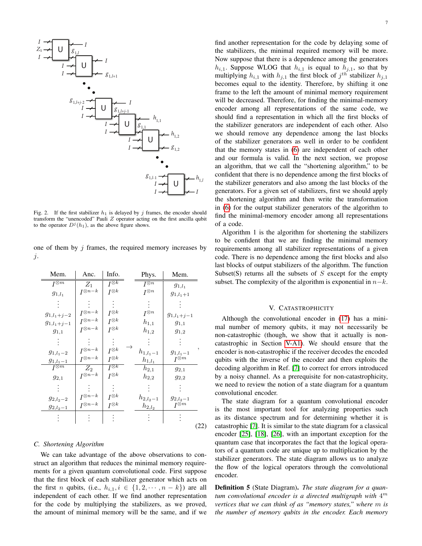

<span id="page-7-1"></span>Fig. 2. If the first stabilizer  $h_1$  is delayed by j frames, the encoder should transform the "unencoded" Pauli Z operator acting on the first ancilla qubit to the operator  $D^{j}(h_1)$ , as the above figure shows.

one of them by  $i$  frames, the required memory increases by j.

<span id="page-7-2"></span>

| Mem.                       | Anc.              | Info.                      | Phys.                   | Mem.            |
|----------------------------|-------------------|----------------------------|-------------------------|-----------------|
| $\overline{I^{\otimes m}}$ | $Z_1$             | $\overline{I^{\otimes k}}$ | $I^{\bigotimes n}$      | $g_{1,l_1}$     |
| $g_{1,l_1}$                | $I^{\otimes n-k}$ | $I^{\otimes k}$            | $I^{\otimes n}$         | $g_{1,l_1+1}$   |
|                            |                   |                            |                         |                 |
| $g_{1,l_1+j-2}$            | $I^{\otimes n-k}$ | $I^{\otimes k}$            | $I^{\otimes n}$         | $g_{1,l_1+j-1}$ |
| $g_{1,l_1+j-1}$            | $I^{\otimes n-k}$ | $I^{\otimes k}$            | $h_{1,1}$               | $g_{1,1}$       |
| $g_{1,1}$                  | $I^{\otimes n-k}$ | $I^{\otimes k}$            | $h_{1,2}$               | $g_{1,2}$       |
|                            |                   |                            |                         |                 |
| $g_{1,l_1-2}$              | $I^{\otimes n-k}$ | $I^{\otimes k}$            | $h_{1,l_1-1}$           | $g_{1,l_1-1}$   |
| $g_{1,l_1-1}$              | $I^{\otimes n-k}$ | $I^{\otimes k}$            | $h_{1,\underline{l_1}}$ | $I^{\otimes m}$ |
| $\overline{I^{\otimes m}}$ | $Z_2$             | $\overline{I^{\otimes k}}$ | $h_{2,1}$               | $g_{2,1}$       |
| $g_{2,1}$                  | $I^{\otimes n-k}$ | $I^{\otimes k}$            | $h_{2,2}$               | $g_{2,2}$       |
|                            |                   |                            |                         |                 |
| $g_{2,l_2-2}$              | $I^{\otimes n-k}$ | $I^{\otimes k}$            | $h_{2,l_2-1}$           | $g_{2,l_2-1}$   |
| $g_{2,l_2-1}$              | $I^{\otimes n-k}$ | $I^{\otimes k}$            | $h_{2,l_2}$             | $I^{\otimes m}$ |
|                            |                   |                            |                         |                 |
|                            |                   |                            |                         | (22)            |

#### *C. Shortening Algorithm*

We can take advantage of the above observations to construct an algorithm that reduces the minimal memory requirements for a given quantum convolutional code. First suppose that the first block of each stabilizer generator which acts on the first *n* qubits, (i.e.,  $h_{i,1}$ ,  $i \in \{1, 2, \dots, n - k\}$ ) are all independent of each other. If we find another representation for the code by multiplying the stabilizers, as we proved, the amount of minimal memory will be the same, and if we

find another representation for the code by delaying some of the stabilizers, the minimal required memory will be more. Now suppose that there is a dependence among the generators  $h_{i,1}$ . Suppose WLOG that  $h_{i,1}$  is equal to  $h_{j,1}$ , so that by multiplying  $h_{i,1}$  with  $h_{j,1}$  the first block of  $j^{th}$  stabilizer  $h_{j,1}$ becomes equal to the identity. Therefore, by shifting it one frame to the left the amount of minimal memory requirement will be decreased. Therefore, for finding the minimal-memory encoder among all representations of the same code, we should find a representation in which all the first blocks of the stabilizer generators are independent of each other. Also we should remove any dependence among the last blocks of the stabilizer generators as well in order to be confident that the memory states in [\(6\)](#page-3-2) are independent of each other and our formula is valid. In the next section, we propose an algorithm, that we call the "shortening algorithm," to be confident that there is no dependence among the first blocks of the stabilizer generators and also among the last blocks of the generators. For a given set of stabilizers, first we should apply the shortening algorithm and then write the transformation in [\(6\)](#page-3-2) for the output stabilizer generators of the algorithm to find the minimal-memory encoder among all representations of a code.

Algorithm 1 is the algorithm for shortening the stabilizers to be confident that we are finding the minimal memory requirements among all stabilizer representations of a given code. There is no dependence among the first blocks and also last blocks of output stabilizers of the algorithm. The function Subset(S) returns all the subsets of  $S$  except for the empty subset. The complexity of the algorithm is exponential in  $n-k$ .

#### V. CATASTROPHICITY

<span id="page-7-0"></span>Although the convolutional encoder in [\(17\)](#page-5-3) has a minimal number of memory qubits, it may not necessarily be non-catastrophic (though, we show that it actually is noncatastrophic in Section [V-A1\)](#page-9-1). We should ensure that the encoder is non-catastrophic if the receiver decodes the encoded qubits with the inverse of the encoder and then exploits the decoding algorithm in Ref. [\[7\]](#page-13-6) to correct for errors introduced by a noisy channel. As a prerequisite for non-catastrophicity, we need to review the notion of a state diagram for a quantum convolutional encoder.

The state diagram for a quantum convolutional encoder is the most important tool for analyzing properties such as its distance spectrum and for determining whether it is catastrophic [\[7\]](#page-13-6). It is similar to the state diagram for a classical encoder [\[25\]](#page-13-24), [\[18\]](#page-13-17), [\[26\]](#page-13-25), with an important exception for the quantum case that incorporates the fact that the logical operators of a quantum code are unique up to multiplication by the stabilizer generators. The state diagram allows us to analyze the flow of the logical operators through the convolutional encoder.

Definition 5 (State Diagram). *The state diagram for a quantum convolutional encoder is a directed multigraph with* 4 m *vertices that we can think of as "memory states," where* m *is the number of memory qubits in the encoder. Each memory*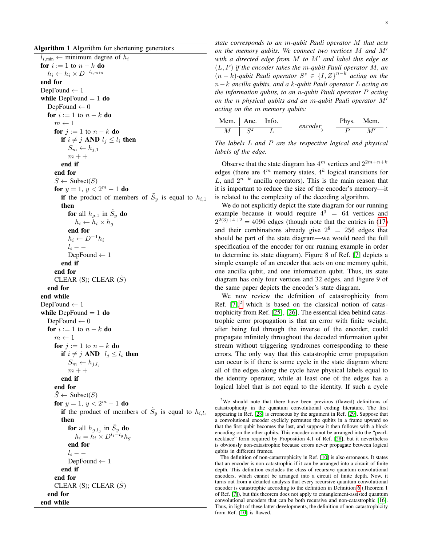Algorithm 1 Algorithm for shortening generators  $l_{i,\min} \leftarrow$  minimum degree of  $h_i$ for  $i := 1$  to  $n - k$  do  $h_i \leftarrow h_i \times D^{-l_{i,min}}$ end for DepFound  $\leftarrow$  1 while DepFound  $= 1$  do DepFound  $\leftarrow 0$ for  $i := 1$  to  $n - k$  do  $m \leftarrow 1$ for  $j := 1$  to  $n - k$  do if  $i \neq j$  AND  $l_j \leq l_i$  then  $S_m \leftarrow h_{j,1}$  $m + +$ end if end for  $S \leftarrow$  Subset(S) for  $y = 1, y < 2^m - 1$  do if the product of members of  $\tilde{S}_y$  is equal to  $h_{i,1}$ then for all  $h_{g,1}$  in  $\tilde{S}_y$  do  $h_i \leftarrow h_i \times h_g$ end for  $h_i \leftarrow D^{-1}h_i$  $l_i$  –  $-$ DepFound  $\leftarrow$  1 end if end for CLEAR (S); CLEAR  $(S)$ end for end while DepFound  $\leftarrow$  1 while DepFound  $= 1$  do DepFound  $\leftarrow 0$ for  $i := 1$  to  $n - k$  do  $m \leftarrow 1$ for  $j := 1$  to  $n - k$  do if  $i \neq j$  AND  $l_i \leq l_i$  then  $S_m \leftarrow h_{j,l_j}$  $m + +$ end if end for  $S \leftarrow$  Subset(S) for  $y = 1, y < 2^m - 1$  do if the product of members of  $\tilde{S}_y$  is equal to  $h_{i,l_i}$ then for all  $h_{g,l_g}$  in  $\tilde{S}_y$  do  $h_i = h_i \times D^{l_i-l_g} h_g$ end for  $l_i$  –  $-$ DepFound  $\leftarrow$  1 end if end for CLEAR (S); CLEAR  $(\tilde{S})$ end for end while

*state corresponds to an* m*-qubit Pauli operator* M *that acts on the memory qubits. We connect two vertices* M and M' *with a directed edge from* M *to* M<sup>0</sup> *and label this edge as* (L, P) *if the encoder takes the* m*-qubit Pauli operator* M*, an*  $(n-k)$ -qubit Pauli operator  $S^z$  ∈  ${I,Z}$ <sup>n-k</sup> acting on the n−k *ancilla qubits, and a* k*-qubit Pauli operator* L *acting on the information qubits, to an* n*-qubit Pauli operator* P *acting on the n physical qubits and an m-qubit Pauli operator*  $M'$ *acting on the* m *memory qubits:*

| Mem. | Anc. | Info. |         | Mem. |  |
|------|------|-------|---------|------|--|
|      | Ωz   |       | encoder |      |  |

*The labels* L *and* P *are the respective logical and physical labels of the edge.*

Observe that the state diagram has  $4^m$  vertices and  $2^{2m+n+k}$ edges (there are  $4^m$  memory states,  $4^k$  logical transitions for L, and  $2^{n-k}$  ancilla operators). This is the main reason that it is important to reduce the size of the encoder's memory—it is related to the complexity of the decoding algorithm.

We do not explicitly depict the state diagram for our running example because it would require  $4^3 = 64$  vertices and  $2^{2(3)+4+2} = 4096$  edges (though note that the entries in [\(17\)](#page-5-3) and their combinations already give  $2^8 = 256$  edges that should be part of the state diagram—we would need the full specification of the encoder for our running example in order to determine its state diagram). Figure 8 of Ref. [\[7\]](#page-13-6) depicts a simple example of an encoder that acts on one memory qubit, one ancilla qubit, and one information qubit. Thus, its state diagram has only four vertices and 32 edges, and Figure 9 of the same paper depicts the encoder's state diagram.

We now review the definition of catastrophicity from Ref.  $[7]<sup>2</sup>$  $[7]<sup>2</sup>$  $[7]<sup>2</sup>$  $[7]<sup>2</sup>$  which is based on the classical notion of catastrophicity from Ref. [\[25\]](#page-13-24), [\[26\]](#page-13-25). The essential idea behind catastrophic error propagation is that an error with finite weight, after being fed through the inverse of the encoder, could propagate infinitely throughout the decoded information qubit stream without triggering syndromes corresponding to these errors. The only way that this catastrophic error propagation can occur is if there is some cycle in the state diagram where all of the edges along the cycle have physical labels equal to the identity operator, while at least one of the edges has a logical label that is not equal to the identity. If such a cycle

<span id="page-8-0"></span><sup>2</sup>We should note that there have been previous (flawed) definitions of catastrophicity in the quantum convolutional coding literature. The first appearing in Ref. [\[28\]](#page-13-27) is erroneous by the argument in Ref. [\[29\]](#page-13-28). Suppose that a convolutional encoder cyclicly permutes the qubits in a frame upward so that the first qubit becomes the last, and suppose it then follows with a block encoding on the other qubits. This encoder cannot be arranged into the "pearlnecklace" form required by Proposition 4.1 of Ref. [\[28\]](#page-13-27), but it nevertheless is obviously non-catastrophic because errors never propagate between logical qubits in different frames.

The definition of non-catastrophicity in Ref. [\[10\]](#page-13-9) is also erroneous. It states that an encoder is non-catastrophic if it can be arranged into a circuit of finite depth. This definition excludes the class of recursive quantum convolutional encoders, which cannot be arranged into a circuit of finite depth. Now, it turns out from a detailed analysis that every recursive quantum convolutional encoder is catastrophic according to the definition in Definition [6](#page-9-2) (Theorem 1 of Ref. [\[7\]](#page-13-6)), but this theorem does not apply to entanglement-assisted quantum convolutional encoders that can be both recursive and non-catastrophic [\[16\]](#page-13-15). Thus, in light of these latter developments, the definition of non-catastrophicity from Ref. [\[10\]](#page-13-9) is flawed.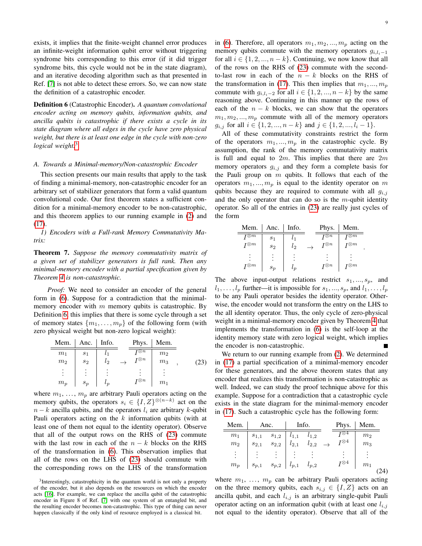exists, it implies that the finite-weight channel error produces an infinite-weight information qubit error without triggering syndrome bits corresponding to this error (if it did trigger syndrome bits, this cycle would not be in the state diagram), and an iterative decoding algorithm such as that presented in Ref. [\[7\]](#page-13-6) is not able to detect these errors. So, we can now state the definition of a catastrophic encoder.

<span id="page-9-2"></span>Definition 6 (Catastrophic Encoder). *A quantum convolutional encoder acting on memory qubits, information qubits, and ancilla qubits is catastrophic if there exists a cycle in its state diagram where all edges in the cycle have zero physical weight, but there is at least one edge in the cycle with non-zero logical weight.*[3](#page-9-3)

#### <span id="page-9-0"></span>*A. Towards a Minimal-memory/Non-catastrophic Encoder*

This section presents our main results that apply to the task of finding a minimal-memory, non-catastrophic encoder for an arbitrary set of stabilizer generators that form a valid quantum convolutional code. Our first theorem states a sufficient condition for a minimal-memory encoder to be non-catastrophic, and this theorem applies to our running example in [\(2\)](#page-2-0) and [\(17\)](#page-5-3).

<span id="page-9-1"></span>*1) Encoders with a Full-rank Memory Commutativity Matrix:*

<span id="page-9-6"></span>Theorem 7. *Suppose the memory commutativity matrix of a given set of stabilizer generators is full rank. Then any minimal-memory encoder with a partial specification given by Theorem [4](#page-5-4) is non-catastrophic.*

*Proof:* We need to consider an encoder of the general form in [\(6\)](#page-3-2). Suppose for a contradiction that the minimalmemory encoder with  $m$  memory qubits is catastrophic. By Definition [6,](#page-9-2) this implies that there is some cycle through a set of memory states  $\{m_1, \ldots, m_p\}$  of the following form (with zero physical weight but non-zero logical weight):

<span id="page-9-4"></span>

| Mem.           | Anc.           | Info.       | Phys.                                                    | Mem.           |           |
|----------------|----------------|-------------|----------------------------------------------------------|----------------|-----------|
| m <sub>1</sub> | s <sub>1</sub> |             | $\boldsymbol{\scriptstyle\Gamma} \otimes \boldsymbol{n}$ | m <sub>2</sub> |           |
| m <sub>2</sub> | $s_2$          | $\iota_2$   | $\overline{I\otimes n}$                                  | m <sub>3</sub> | $^{(23)}$ |
| ٠<br>٠<br>٠    | ٠<br>٠<br>٠    |             |                                                          |                |           |
| $m_p$          | $s_p$          | $^{\iota}v$ | $I^{\otimes n}$                                          | m <sub>1</sub> |           |

where  $m_1, \ldots, m_p$  are arbitrary Pauli operators acting on the memory qubits, the operators  $s_i \in \{I, Z\}^{\otimes (n-k)}$  act on the  $n - k$  ancilla qubits, and the operators  $l_i$  are arbitrary k-qubit Pauli operators acting on the  $k$  information qubits (with at least one of them not equal to the identity operator). Observe that all of the output rows on the RHS of [\(23\)](#page-9-4) commute with the last row in each of the  $n - k$  blocks on the RHS of the transformation in [\(6\)](#page-3-2). This observation implies that all of the rows on the LHS of [\(23\)](#page-9-4) should commute with the corresponding rows on the LHS of the transformation in [\(6\)](#page-3-2). Therefore, all operators  $m_1, m_2, ..., m_p$  acting on the memory qubits commute with the memory operators  $g_{i,l_i-1}$ for all  $i \in \{1, 2, ..., n-k\}$ . Continuing, we now know that all of the rows on the RHS of [\(23\)](#page-9-4) commute with the secondto-last row in each of the  $n - k$  blocks on the RHS of the transformation in [\(17\)](#page-5-3). This then implies that  $m_1, ..., m_p$ commute with  $g_{i,l_i-2}$  for all  $i \in \{1,2,...,n-k\}$  by the same reasoning above. Continuing in this manner up the rows of each of the  $n - k$  blocks, we can show that the operators  $m_1, m_2, ..., m_p$  commute with all of the memory operators  $g_{i,j}$  for all  $i \in \{1, 2, ..., n-k\}$  and  $j \in \{1, 2, ..., l_i-1\}.$ 

All of these commutativity constraints restrict the form of the operators  $m_1, ..., m_p$  in the catastrophic cycle. By assumption, the rank of the memory commutativity matrix is full and equal to  $2m$ . This implies that there are  $2m$ memory operators  $g_{i,j}$  and they form a complete basis for the Pauli group on  $m$  qubits. It follows that each of the operators  $m_1, ..., m_n$  is equal to the identity operator on m qubits because they are required to commute with all  $g_{i,j}$ and the only operator that can do so is the  $m$ -qubit identity operator. So all of the entries in [\(23\)](#page-9-4) are really just cycles of the form

| Mem.            | Anc.  | Info.            | Phys.                       | Mem.                         |
|-----------------|-------|------------------|-----------------------------|------------------------------|
| $I^{\otimes m}$ | $s_1$ | $^{l_1}$         | $\scriptstyle\tau\otimes n$ | $\mathit{T}\otimes m$        |
| $I^{\otimes m}$ | $s_2$ | $l_2$            | $I^{\otimes n}$             | $I^{\otimes m}$              |
| ٠               |       |                  |                             |                              |
| $I^{\otimes m}$ | $s_p$ | $\iota_{\bm{p}}$ | $\overline{I^{\otimes n}}$  | $\mathcal{I}^{\bigotimes m}$ |

.

The above input-output relations restrict  $s_1, ..., s_p$ , and  $l_1, \ldots, l_p$  further—it is impossible for  $s_1, \ldots, s_p$ , and  $l_1, \ldots, l_p$ to be any Pauli operator besides the identity operator. Otherwise, the encoder would not transform the entry on the LHS to the all identity operator. Thus, the only cycle of zero-physical weight in a minimal-memory encoder given by Theorem [4](#page-5-4) that implements the transformation in [\(6\)](#page-3-2) is the self-loop at the identity memory state with zero logical weight, which implies the encoder is non-catastrophic.

We return to our running example from [\(2\)](#page-2-0). We determined in [\(17\)](#page-5-3) a partial specification of a minimal-memory encoder for these generators, and the above theorem states that any encoder that realizes this transformation is non-catastrophic as well. Indeed, we can study the proof technique above for this example. Suppose for a contradiction that a catastrophic cycle exists in the state diagram for the minimal-memory encoder in [\(17\)](#page-5-3). Such a catastrophic cycle has the following form:

<span id="page-9-5"></span>

| Mem.           |                | Anc.                                    |           | Info.     | Phys.           | Mem.           |
|----------------|----------------|-----------------------------------------|-----------|-----------|-----------------|----------------|
| m <sub>1</sub> | $s_{1,1}$      | $s_{1,2}$                               | $l_{1,1}$ | $l_{1,2}$ | ™⊗4             | m <sub>2</sub> |
| m <sub>2</sub> | $s_{2,1}$      | $s_{2,2}$                               | $l_{2,1}$ | $l_{2,2}$ | $I^{\otimes 4}$ | m <sub>3</sub> |
| $\ddot{\cdot}$ | $\ddot{\cdot}$ | $\mathcal{L}^{\text{max}}_{\text{max}}$ |           |           |                 |                |
| $m_{\rm n}$    | $s_{p,1}$      | $s_{p,2} \mid l_{p,1}$                  |           | $l_{p,2}$ | $I^{\otimes 4}$ | m <sub>1</sub> |
|                |                |                                         |           |           |                 |                |

where  $m_1, \ldots, m_p$  can be arbitrary Pauli operators acting on the three memory qubits, each  $s_{i,j} \in \{I, Z\}$  acts on an ancilla qubit, and each  $l_{i,j}$  is an arbitrary single-qubit Pauli operator acting on an information qubit (with at least one  $l_{i,j}$ not equal to the identity operator). Observe that all of the

<span id="page-9-3"></span><sup>&</sup>lt;sup>3</sup>Interestingly, catastrophicity in the quantum world is not only a property of the encoder, but it also depends on the resources on which the encoder acts [\[16\]](#page-13-15). For example, we can replace the ancilla qubit of the catastrophic encoder in Figure 8 of Ref. [\[7\]](#page-13-6) with one system of an entangled bit, and the resulting encoder becomes non-catastrophic. This type of thing can never happen classically if the only kind of resource employed is a classical bit.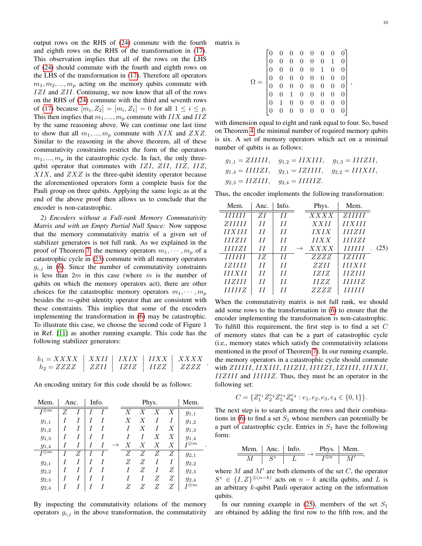output rows on the RHS of [\(24\)](#page-9-5) commute with the fourth and eighth rows on the RHS of the transformation in [\(17\)](#page-5-3). This observation implies that all of the rows on the LHS of [\(24\)](#page-9-5) should commute with the fourth and eighth rows on the LHS of the transformation in [\(17\)](#page-5-3). Therefore all operators  $m_1, m_2, ..., m_p$  acting on the memory qubits commute with IZI and ZII. Continuing, we now know that all of the rows on the RHS of [\(24\)](#page-9-5) commute with the third and seventh rows of [\(17\)](#page-5-3) because  $[m_i, Z_2] = [m_i, Z_1] = 0$  for all  $1 \le i \le p$ . This then implies that  $m_1, ..., m_p$  commute with  $IIX$  and  $IIZ$ by the same reasoning above. We can continue one last time to show that all  $m_1, ..., m_p$  commute with XIX and ZXZ. Similar to the reasoning in the above theorem, all of these commutativity constraints restrict the form of the operators  $m_1, ..., m_p$  in the catastrophic cycle. In fact, the only threequbit operator that commutes with *IZI*, *ZII*, *IIZ*, *IIZ*,  $XIX$ , and  $ZXZ$  is the three-qubit identity operator because the aforementioned operators form a complete basis for the Pauli group on three qubits. Applying the same logic as at the end of the above proof then allows us to conclude that the encoder is non-catastrophic.

*2) Encoders without a Full-rank Memory Commutativity Matrix and with an Empty Partial Null Space:* Now suppose that the memory commutativity matrix of a given set of stabilizer generators is not full rank. As we explained in the proof of Theorem [7,](#page-9-6) the memory operators  $m_1, \dots, m_p$  of a catastrophic cycle in [\(23\)](#page-9-4) commute with all memory operators  $g_{i,j}$  in [\(6\)](#page-3-2). Since the number of commutativity constraints is less than  $2m$  in this case (where m is the number of qubits on which the memory operators act), there are other choices for the catastrophic memory operators  $m_1, \dots, m_p$ besides the m-qubit identity operator that are consistent with these constraints. This implies that some of the encoders implementing the transformation in [\(6\)](#page-3-2) may be catastrophic. To illustrate this case, we choose the second code of Figure 1 in Ref. [\[11\]](#page-13-10) as another running example. This code has the following stabilizer generators:

$$
\begin{array}{c|c|c|c|c|c|c} h_1 = XXXX & XXX & XXII & IXIX & IIXX & XXXX\\ h_2 = ZZZZ & ZZII & IZIZ & IIZZ & ZZZZ \end{array}.
$$

An encoding unitary for this code should be as follows:

| Mem.                       |   | Anc. |   | Info. |               | Phys.            |   |   | Mem.             |                 |
|----------------------------|---|------|---|-------|---------------|------------------|---|---|------------------|-----------------|
| $\overline{I^{\otimes m}}$ | Ζ |      | I | Ī     |               | $\boldsymbol{X}$ | X | Х | X                | $g_{1,1}$       |
| $g_{1,1}$                  | I | I    | I | I     |               | X                | Х | I | I                | $g_{1,2}$       |
| $g_{1,2}$                  | I | I    | I | 1     |               |                  | X | I | X                | $g_{1,3}$       |
| $g_{1,3}$                  | I | I    | I | I     |               |                  |   | Χ | $\boldsymbol{X}$ | $g_{1,4}$       |
| $g_{1,4}$                  | I | I    | I | 1     | $\rightarrow$ | X                | Х | Х | X                | $I^{\otimes m}$ |
| $\overline{I^{\otimes m}}$ | Ī | Ζ    | I | Ī     |               | Ζ                | Ζ | Ζ | Ζ                | $g_{2,1}$       |
| $g_{2,1}$                  | I | I    | Ī | 1     |               | Ζ                | Ζ | I | I                | $g_{2,2}$       |
| $g_{2,2}$                  | Ī | I    | I | I     |               |                  | Ζ | I | Ζ                | $g_{2,3}$       |
| $g_{2,3}$                  | I | I    | I | I     |               |                  | I | Ζ | Ζ                | $g_{2,4}$       |
| $g_{2,4}$                  |   | I    |   |       |               | Ζ                | Ζ | Ζ | Ζ                | $I^{\otimes m}$ |

.

By inspecting the commutativity relations of the memory operators  $g_{i,j}$  in the above transformation, the commutativity

matrix is

|  |  |  |  | $\left[ \begin{matrix} 0 & 0 & 0 & 0 & 0 & 0 & 0 & 0 \ 0 & 0 & 0 & 0 & 0 & 0 & 1 & 0 \ 0 & 0 & 0 & 0 & 0 & 1 & 0 & 0 \ 0 & 0 & 0 & 0 & 0 & 0 & 0 & 0 \ 0 & 0 & 0 & 0 & 0 & 0 & 0 & 0 \ 0 & 0 & 1 & 0 & 0 & 0 & 0 & 0 \ 0 & 1 & 0 & 0 & 0 & 0 & 0 & 0 \ 0 & 0 & 0 & 0 & 0 & 0 & 0 & 0 \end{matrix} \right]$<br>$\begin{bmatrix} 0 & 0 & 0 \end{bmatrix}$ |
|--|--|--|--|---------------------------------------------------------------------------------------------------------------------------------------------------------------------------------------------------------------------------------------------------------------------------------------------------------------------------------------------------------|

with dimension equal to eight and rank equal to four. So, based on Theorem [4,](#page-5-4) the minimal number of required memory qubits is six. A set of memory operators which act on a minimal number of qubits is as follows:

|                                           | $g_{1,1} = ZIIIII, \quad g_{1,2} = IIXIII, \quad g_{1,3} = IIIZII,$ |  |
|-------------------------------------------|---------------------------------------------------------------------|--|
|                                           | $g_{1,4} = IIIIZI, \quad g_{2,1} = IZIIII, \quad g_{2,2} = IIIXII,$ |  |
| $g_{2,3} = IIZIII$ , $g_{2,4} = IIIIIZ$ . |                                                                     |  |

Thus, the encoder implements the following transformation:

<span id="page-10-0"></span>

| Mem.               | Anc. | Info. | Phys.           | Mem.          |  |
|--------------------|------|-------|-----------------|---------------|--|
| IIIIII             | ZΙ   | IΙ    | $X$ $X$ $X$ $X$ | ZIIIII        |  |
| ZHHI               | H    | IΙ    | <i>XXII</i>     | IIXIII        |  |
| IIXIII             | H    | IΙ    | IXIX            | <i>HIZH</i>   |  |
| HIZH               | H    | IΙ    | IIXX            | <i>HHZI</i>   |  |
| <i>HHZI</i>        | II   | IΙ    | $X$ $X$ $X$ $X$ | <i>IIIIII</i> |  |
| <i>HHHH</i>        | IΖ   | II    | <i>ZZZZ</i>     | IZIIII        |  |
| <i>IZIIII</i>      | II   | IΙ    | ZZH             | <b>HIXII</b>  |  |
| <i>HIXH</i>        | IΙ   | IΙ    | IZIZ            | HZHI          |  |
| <i><b>HZHI</b></i> | H    | IΙ    | IIZZ            | <i>HHIZ</i>   |  |
| <i>HHIZ</i>        | IΙ   | IΙ    | <i>ZZZZ</i>     | IIIIII        |  |

When the commutativity matrix is not full rank, we should add some rows to the transformation in [\(6\)](#page-3-2) to ensure that the encoder implementing the transformation is non-catastrophic. To fulfill this requirement, the first step is to find a set  $C$ of memory states that can be a part of catastrophic cycle (i.e., memory states which satisfy the commutativity relations mentioned in the proof of Theorem [7\)](#page-9-6). In our running example, the memory operators in a catastrophic cycle should commute with ZIIIII, IIXIII, IIIZII, IIIIZI, IZIIII, IIIXII, IIZIII and IIIIIZ. Thus, they must be an operator in the following set:

$$
C = \{Z_1^{e_1} Z_2^{e_2} Z_5^{e_3} Z_6^{e_4} : e_1, e_2, e_3, e_4 \in \{0, 1\} \}.
$$

The next step is to search among the rows and their combina-tions in [\(6\)](#page-3-2) to find a set  $S_1$  whose members can potentially be a part of catastrophic cycle. Entries in  $S_1$  have the following form:

$$
\frac{\text{Mem.} \mid \text{Anc.} \mid \text{Info.}}{M \mid S^z \mid L} \rightarrow \frac{\text{Phys.} \mid \text{Mem.}}{I^{\otimes n} \mid M'},
$$

where  $M$  and  $M'$  are both elements of the set  $C$ , the operator  $S^z \in \{I, Z\}^{\otimes (n-k)}$  acts on  $n-k$  ancilla qubits, and L is an arbitrary k-qubit Pauli operator acting on the information qubits.

In our running example in [\(25\)](#page-10-0), members of the set  $S_1$ are obtained by adding the first row to the fifth row, and the

,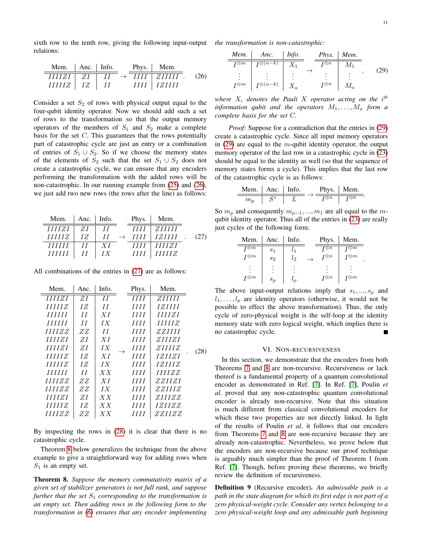sixth row to the tenth row, giving the following input-output *the transformation is non-catastrophic:* relations:

<span id="page-11-1"></span>

| Mem.   Anc.   Info.   |                                 |  | Phys.   Mem.                                                                          |  |
|-----------------------|---------------------------------|--|---------------------------------------------------------------------------------------|--|
|                       |                                 |  | $IIIIZI \parallel ZI \parallel II \rightarrow IIII \parallel ZI\overline{III}$ . (26) |  |
| $IIIIIZ \mid IZ \mid$ | $\begin{array}{cc} \end{array}$ |  | - 1111   1 <i>71111</i>                                                               |  |

Consider a set  $S_2$  of rows with physical output equal to the four-qubit identity operator. Now we should add such a set of rows to the transformation so that the output memory operators of the members of  $S_1$  and  $S_2$  make a complete basis for the set  $C$ . This guarantees that the rows potentially part of catastrophic cycle are just an entry or a combination of entries of  $S_1 \cup S_2$ . So if we choose the memory states of the elements of  $S_2$  such that the set  $S_1 \cup S_2$  does not create a catastrophic cycle, we can ensure that any encoders performing the transformation with the added rows will be non-catastrophic. In our running example from [\(25\)](#page-10-0) and [\(26\)](#page-11-1), we just add two new rows (the rows after the line) as follows:

<span id="page-11-2"></span>

| Mem.        | Anc. $ $ Info. |     | Phys. $\vert$ | Mem.                          |      |
|-------------|----------------|-----|---------------|-------------------------------|------|
| IIIIZI      | ZI             | II  | <i>HHI</i>    | $\mid ZIIIII$                 |      |
| IIIIIZ      | IZ             | II  |               | $\rightarrow$ IIII   IZIIII . | (27) |
| <i>HHHH</i> | TТ             | X I | <b>IIII</b>   | <i>HHZI</i>                   |      |
| IIIIII      | IΙ             | IX  | III           | IIIIIZ                        |      |

All combinations of the entries in [\(27\)](#page-11-2) are as follows:

<span id="page-11-3"></span>

| Mem.        | Anc. | Info. | Phys.       | Mem.        |      |
|-------------|------|-------|-------------|-------------|------|
| <i>HHZI</i> | ZΙ   | II    | <b>IIII</b> | ZHHI        |      |
| HHIZ        | IΖ   | H     | IIII        | <i>IZHH</i> |      |
| <i>HHHH</i> | H    | XT    | IIII        | IIIIZI      |      |
| <i>HHHH</i> | IΙ   | IX    | IIII        | <i>HHIZ</i> |      |
| <i>HHZZ</i> | ZΖ   | H     | IIII        | ZZHH        |      |
| <i>HHZI</i> | ZΙ   | XT    | IIII        | ZHIZI       |      |
| IIIIZI      | ZΙ   | IX    | <i>HH</i>   | ZHHZ        | (28) |
| <i>HHIZ</i> | IΖ   | X I   | IIII        | 171171      |      |
| <i>HHIZ</i> | IΖ   | IX    | IIII        | 171117      |      |
| <i>HHHH</i> | IΙ   | X X   | IIII        | <i>HHZZ</i> |      |
| <i>HHZZ</i> | ZΖ   | X I   | IIII        | ZZHZI       |      |
| <i>HHZZ</i> | ZΖ   | IX    | IIII        | ZZHIZ       |      |
| HHZI        | ZΙ   | X X   | IIII        | ZHIZZ       |      |
| HHIZ        | IΖ   | X X   | IIII        | 171177      |      |
| <i>HHZZ</i> | ZΖ   | X X   | Ш           | ZZHZZ       |      |

By inspecting the rows in [\(28\)](#page-11-3) it is clear that there is no catastrophic cycle.

Theorem [8](#page-11-4) below generalizes the technique from the above example to give a straightforward way for adding rows when  $S_1$  is an empty set.

<span id="page-11-4"></span>Theorem 8. *Suppose the memory commutativity matrix of a given set of stabilizer generators is not full rank, and suppose further that the set*  $S_1$  *corresponding to the transformation is an empty set. Then adding rows in the following form to the transformation in [\(6\)](#page-3-2) ensures that any encoder implementing*

<span id="page-11-5"></span>

| Mem.            | Anc.                | Info. |                                        | Phys.   $Mem$ . |     |
|-----------------|---------------------|-------|----------------------------------------|-----------------|-----|
| $I^{\otimes m}$ | $I^{\otimes (n-k)}$ |       | $\boldsymbol{\scriptstyle I\otimes n}$ |                 |     |
|                 |                     |       |                                        |                 | 29) |
| $I^{\otimes m}$ | $I^{\otimes (n-k)}$ |       | $I^{\otimes n}$                        |                 |     |

where  $X_i$  denotes the Pauli X operator acting on the  $i^{th}$ *information qubit and the operators*  $M_1, \ldots, M_a$  *form a complete basis for the set* C*.*

*Proof:* Suppose for a contradiction that the entries in [\(29\)](#page-11-5) create a catastrophic cycle. Since all input memory operators in [\(29\)](#page-11-5) are equal to the  $m$ -qubit identity operator, the output memory operator of the last row in a catastrophic cycle in [\(23\)](#page-9-4) should be equal to the identity as well (so that the sequence of memory states forms a cycle). This implies that the last row of the catastrophic cycle is as follows:

|       | Mem. $ $ Anc. $ $ Info. |  | Phys.   Mem.                |                    |  |
|-------|-------------------------|--|-----------------------------|--------------------|--|
| $m_n$ |                         |  | $\scriptstyle\tau\otimes n$ | $I^{\bigotimes k}$ |  |

So  $m_p$  and consequently  $m_{p-1}, ..., m_1$  are all equal to the mqubit identity operator. Thus all of the entries in [\(23\)](#page-9-4) are really just cycles of the following form:

| Mem.                       | Anc.        | Info.      | Phys.                       | Mem.                       |
|----------------------------|-------------|------------|-----------------------------|----------------------------|
| $I^{\otimes m}$            | $s_1$       | l 1        | $\scriptstyle\tau\otimes n$ | $\cdot \otimes m$          |
| $\overline{I^{\otimes m}}$ | $s_2$       | $l_2$      | $I^{\otimes n}$             | $\overline{I^{\otimes m}}$ |
|                            |             |            |                             |                            |
| $\bar{I}^{\otimes m}$      | $s_{\bm p}$ | $^{\circ}$ | $I^{\otimes n}$             | $I^{\bigotimes m}$         |

The above input-output relations imply that  $s_1, ..., s_p$  and  $l_1, \ldots, l_p$  are identity operators (otherwise, it would not be possible to effect the above transformation). Thus, the only cycle of zero-physical weight is the self-loop at the identity memory state with zero logical weight, which implies there is no catastrophic cycle.

#### VI. NON-RECURSIVENESS

<span id="page-11-0"></span>In this section, we demonstrate that the encoders from both Theorems [7](#page-9-6) and [8](#page-11-4) are non-recursive. Recursiveness or lack thereof is a fundamental property of a quantum convolutional encoder as demonstrated in Ref. [\[7\]](#page-13-6). In Ref. [\[7\]](#page-13-6), Poulin *et al*. proved that any non-catastrophic quantum convolutional encoder is already non-recursive. Note that this situation is much different from classical convolutional encoders for which these two properties are not directly linked. In light of the results of Poulin *et al*, it follows that our encoders from Theorems [7](#page-9-6) and [8](#page-11-4) are non-recursive because they are already non-catastrophic. Nevertheless, we prove below that the encoders are non-recursive because our proof technique is arguably much simpler than the proof of Theorem 1 from Ref. [\[7\]](#page-13-6). Though, before proving these theorems, we briefly review the definition of recursiveness.

<span id="page-11-6"></span>Definition 9 (Recursive encoder). *An admissable path is a path in the state diagram for which its first edge is not part of a zero physical-weight cycle. Consider any vertex belonging to a zero physical-weight loop and any admissable path beginning*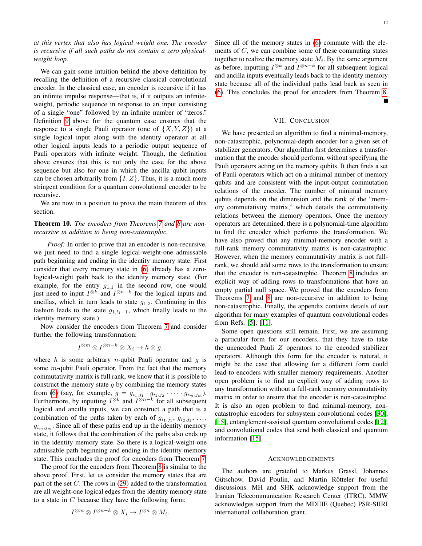*at this vertex that also has logical weight one. The encoder is recursive if all such paths do not contain a zero physicalweight loop.*

We can gain some intuition behind the above definition by recalling the definition of a recursive classical convolutional encoder. In the classical case, an encoder is recursive if it has an infinite impulse response—that is, if it outputs an infiniteweight, periodic sequence in response to an input consisting of a single "one" followed by an infinite number of "zeros." Definition [9](#page-11-6) above for the quantum case ensures that the response to a single Pauli operator (one of  $\{X, Y, Z\}$ ) at a single logical input along with the identity operator at all other logical inputs leads to a periodic output sequence of Pauli operators with infinite weight. Though, the definition above ensures that this is not only the case for the above sequence but also for one in which the ancilla qubit inputs can be chosen arbitrarily from  $\{I, Z\}$ . Thus, it is a much more stringent condition for a quantum convolutional encoder to be recursive.

We are now in a position to prove the main theorem of this section.

# Theorem 10. *The encoders from Theorems [7](#page-9-6) and [8](#page-11-4) are nonrecursive in addition to being non-catastrophic.*

*Proof:* In order to prove that an encoder is non-recursive, we just need to find a single logical-weight-one admissable path beginning and ending in the identity memory state. First consider that every memory state in [\(6\)](#page-3-2) already has a zerological-weight path back to the identity memory state. (For example, for the entry  $q_{1,1}$  in the second row, one would just need to input  $I^{\otimes k}$  and  $I^{\otimes n-k}$  for the logical inputs and ancillas, which in turn leads to state  $g_{1,2}$ . Continuing in this fashion leads to the state  $g_{1,l_1-1}$ , which finally leads to the identity memory state.)

Now consider the encoders from Theorem [7](#page-9-6) and consider further the following transformation:

$$
I^{\otimes m}\otimes I^{\otimes n-k}\otimes X_i\to h\otimes g,
$$

where h is some arbitrary n-qubit Pauli operator and  $q$  is some *m*-qubit Pauli operator. From the fact that the memory commutativity matrix is full rank, we know that it is possible to construct the memory state  $g$  by combining the memory states from [\(6\)](#page-3-2) (say, for example,  $g = g_{i_1, j_1} \cdot g_{i_2, j_2} \cdot \cdots \cdot g_{i_m, j_m}$ ). Furthermore, by inputting  $I^{\otimes k}$  and  $I^{\otimes n-k}$  for all subsequent logical and ancilla inputs, we can construct a path that is a combination of the paths taken by each of  $g_{i_1,j_1}, g_{i_2,j_2}, \ldots$  $g_{i_m,j_m}$ . Since all of these paths end up in the identity memory state, it follows that the combination of the paths also ends up in the identity memory state. So there is a logical-weight-one admissable path beginning and ending in the identity memory state. This concludes the proof for encoders from Theorem [7.](#page-9-6)

The proof for the encoders from Theorem [8](#page-11-4) is similar to the above proof. First, let us consider the memory states that are part of the set  $C$ . The rows in [\(29\)](#page-11-5) added to the transformation are all weight-one logical edges from the identity memory state to a state in  $C$  because they have the following form:

$$
I^{\otimes m}\otimes I^{\otimes n-k}\otimes X_i\to I^{\otimes n}\otimes M_i.
$$

Since all of the memory states in [\(6\)](#page-3-2) commute with the elements of  $C$ , we can combine some of these commuting states together to realize the memory state  $M_i$ . By the same argument as before, inputting  $I^{\otimes k}$  and  $I^{\otimes n-k}$  for all subsequent logical and ancilla inputs eventually leads back to the identity memory state because all of the individual paths lead back as seen in [\(6\)](#page-3-2). This concludes the proof for encoders from Theorem [8.](#page-11-4)

#### VII. CONCLUSION

<span id="page-12-0"></span>We have presented an algorithm to find a minimal-memory, non-catastrophic, polynomial-depth encoder for a given set of stabilizer generators. Our algorithm first determines a transformation that the encoder should perform, without specifying the Pauli operators acting on the memory qubits. It then finds a set of Pauli operators which act on a minimal number of memory qubits and are consistent with the input-output commutation relations of the encoder. The number of minimal memory qubits depends on the dimension and the rank of the "memory commutativity matrix," which details the commutativity relations between the memory operators. Once the memory operators are determined, there is a polynomial-time algorithm to find the encoder which performs the transformation. We have also proved that any minimal-memory encoder with a full-rank memory commutativity matrix is non-catastrophic. However, when the memory commutativity matrix is not fullrank, we should add some rows to the transformation to ensure that the encoder is non-catastrophic. Theorem [8](#page-11-4) includes an explicit way of adding rows to transformations that have an empty partial null space. We proved that the encoders from Theorems [7](#page-9-6) and [8](#page-11-4) are non-recursive in addition to being non-catastrophic. Finally, the appendix contains details of our algorithm for many examples of quantum convolutional codes from Refs. [\[5\]](#page-13-4), [\[11\]](#page-13-10).

Some open questions still remain. First, we are assuming a particular form for our encoders, that they have to take the unencoded Pauli Z operators to the encoded stabilizer operators. Although this form for the encoder is natural, it might be the case that allowing for a different form could lead to encoders with smaller memory requirements. Another open problem is to find an explicit way of adding rows to any transformation without a full-rank memory commutativity matrix in order to ensure that the encoder is non-catastrophic. It is also an open problem to find minimal-memory, noncatastrophic encoders for subsystem convolutional codes [\[30\]](#page-13-29), [\[15\]](#page-13-14), entanglement-assisted quantum convolutional codes [\[12\]](#page-13-11), and convolutional codes that send both classical and quantum information [\[15\]](#page-13-14).

#### ACKNOWLEDGEMENTS

The authors are grateful to Markus Grassl, Johannes Gütschow, David Poulin, and Martin Rötteler for useful discussions. MH and SHK acknowledge support from the Iranian Telecommunication Research Center (ITRC). MMW acknowledges support from the MDEIE (Quebec) PSR-SIIRI international collaboration grant.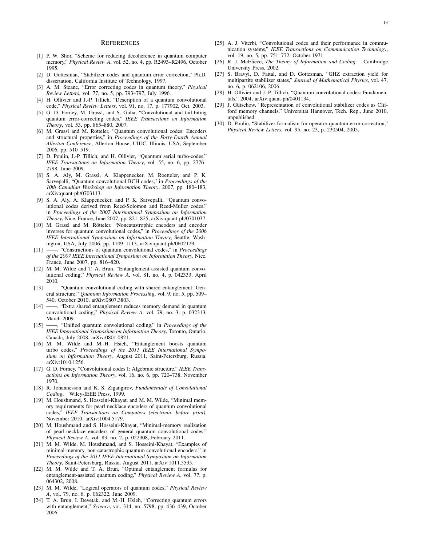#### **REFERENCES**

- <span id="page-13-0"></span>[1] P. W. Shor, "Scheme for reducing decoherence in quantum computer memory," *Physical Review A*, vol. 52, no. 4, pp. R2493–R2496, October 1995.
- <span id="page-13-1"></span>[2] D. Gottesman, "Stabilizer codes and quantum error correction," Ph.D. dissertation, California Institute of Technology, 1997.
- <span id="page-13-2"></span>[3] A. M. Steane, "Error correcting codes in quantum theory," *Physical Review Letters*, vol. 77, no. 5, pp. 793–797, July 1996.
- <span id="page-13-3"></span>[4] H. Ollivier and J.-P. Tillich, "Description of a quantum convolutional code," *Physical Review Letters*, vol. 91, no. 17, p. 177902, Oct. 2003.
- <span id="page-13-4"></span>[5] G. D. Forney, M. Grassl, and S. Guha, "Convolutional and tail-biting quantum error-correcting codes," *IEEE Transactions on Information Theory*, vol. 53, pp. 865–880, 2007.
- <span id="page-13-5"></span>[6] M. Grassl and M. Rötteler, "Quantum convolutional codes: Encoders and structural properties," in *Proceedings of the Forty-Fourth Annual Allerton Conference*, Allerton House, UIUC, Illinois, USA, September 2006, pp. 510–519.
- <span id="page-13-6"></span>[7] D. Poulin, J.-P. Tillich, and H. Ollivier, "Quantum serial turbo-codes," *IEEE Transactions on Information Theory*, vol. 55, no. 6, pp. 2776– 2798, June 2009.
- <span id="page-13-7"></span>[8] S. A. Aly, M. Grassl, A. Klappenecker, M. Roetteler, and P. K. Sarvepalli, "Quantum convolutional BCH codes," in *Proceedings of the 10th Canadian Workshop on Information Theory*, 2007, pp. 180–183, arXiv:quant-ph/0703113.
- <span id="page-13-8"></span>[9] S. A. Aly, A. Klappenecker, and P. K. Sarvepalli, "Quantum convolutional codes derived from Reed-Solomon and Reed-Muller codes," in *Proceedings of the 2007 International Symposium on Information Theory*, Nice, France, June 2007, pp. 821–825, arXiv:quant-ph/0701037.
- <span id="page-13-9"></span>[10] M. Grassl and M. Rötteler, "Noncatastrophic encoders and encoder inverses for quantum convolutional codes," in *Proceedings of the 2006 IEEE International Symposium on Information Theory*, Seattle, Washington, USA, July 2006, pp. 1109–1113, arXiv:quant-ph/0602129.
- <span id="page-13-10"></span>[11] ——, "Constructions of quantum convolutional codes," in *Proceedings of the 2007 IEEE International Symposium on Information Theory*, Nice, France, June 2007, pp. 816–820.
- <span id="page-13-11"></span>[12] M. M. Wilde and T. A. Brun, "Entanglement-assisted quantum convolutional coding," *Physical Review A*, vol. 81, no. 4, p. 042333, April 2010.
- <span id="page-13-12"></span>[13] ——, "Quantum convolutional coding with shared entanglement: General structure," *Quantum Information Processing*, vol. 9, no. 5, pp. 509– 540, October 2010, arXiv:0807.3803.
- <span id="page-13-13"></span>[14] ——, "Extra shared entanglement reduces memory demand in quantum convolutional coding," *Physical Review A*, vol. 79, no. 3, p. 032313, March 2009.
- <span id="page-13-14"></span>[15] ——, "Unified quantum convolutional coding," in *Proceedings of the IEEE International Symposium on Information Theory*, Toronto, Ontario, Canada, July 2008, arXiv:0801.0821.
- <span id="page-13-15"></span>[16] M. M. Wilde and M.-H. Hsieh, "Entanglement boosts quantum turbo codes," *Proceedings of the 2011 IEEE International Symposium on Information Theory*, August 2011, Saint-Petersburg, Russia. arXiv:1010.1256.
- <span id="page-13-16"></span>[17] G. D. Forney, "Convolutional codes I: Algebraic structure," *IEEE Transactions on Information Theory*, vol. 16, no. 6, pp. 720–738, November 1970.
- <span id="page-13-17"></span>[18] R. Johannesson and K. S. Zigangirov, *Fundamentals of Convolutional Coding*. Wiley-IEEE Press, 1999.
- <span id="page-13-18"></span>[19] M. Houshmand, S. Hosseini-Khayat, and M. M. Wilde, "Minimal memory requirements for pearl necklace encoders of quantum convolutional codes," *IEEE Transactions on Computers (electronic before print)*, November 2010, arXiv:1004.5179.
- <span id="page-13-19"></span>[20] M. Houshmand and S. Hosseini-Khayat, "Minimal-memory realization of pearl-necklace encoders of general quantum convolutional codes," *Physical Review A*, vol. 83, no. 2, p. 022308, February 2011.
- <span id="page-13-20"></span>[21] M. M. Wilde, M. Houshmand, and S. Hosseini-Khayat, "Examples of minimal-memory, non-catastrophic quantum convolutional encoders," in *Proceedings of the 2011 IEEE International Symposium on Information Theory*, Saint-Petersburg, Russia, August 2011, arXiv:1011.5535.
- <span id="page-13-21"></span>[22] M. M. Wilde and T. A. Brun, "Optimal entanglement formulas for entanglement-assisted quantum coding," *Physical Review A*, vol. 77, p. 064302, 2008.
- <span id="page-13-22"></span>[23] M. M. Wilde, "Logical operators of quantum codes," *Physical Review A*, vol. 79, no. 6, p. 062322, June 2009.
- <span id="page-13-23"></span>[24] T. A. Brun, I. Devetak, and M.-H. Hsieh, "Correcting quantum errors with entanglement," *Science*, vol. 314, no. 5798, pp. 436–439, October 2006.
- <span id="page-13-24"></span>[25] A. J. Viterbi, "Convolutional codes and their performance in communication systems," *IEEE Transactions on Communication Technology*, vol. 19, no. 5, pp. 751–772, October 1971.
- <span id="page-13-25"></span>[26] R. J. McEliece, *The Theory of Information and Coding*. Cambridge University Press, 2002.
- <span id="page-13-26"></span>[27] S. Bravyi, D. Fattal, and D. Gottesman, "GHZ extraction yield for multipartite stabilizer states," *Journal of Mathematical Physics*, vol. 47, no. 6, p. 062106, 2006.
- <span id="page-13-27"></span>[28] H. Ollivier and J.-P. Tillich, "Quantum convolutional codes: Fundamentals," 2004, arXiv:quant-ph/0401134.
- <span id="page-13-28"></span>[29] J. Gütschow, "Representation of convolutional stabilizer codes as Clifford memory channels," Universität Hannover, Tech. Rep., June 2010, unpublished.
- <span id="page-13-29"></span>[30] D. Poulin, "Stabilizer formalism for operator quantum error correction," *Physical Review Letters*, vol. 95, no. 23, p. 230504, 2005.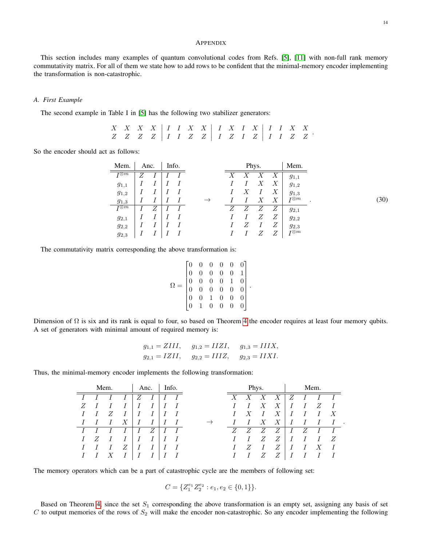#### APPENDIX

This section includes many examples of quantum convolutional codes from Refs. [\[5\]](#page-13-4), [\[11\]](#page-13-10) with non-full rank memory commutativity matrix. For all of them we state how to add rows to be confident that the minimal-memory encoder implementing the transformation is non-catastrophic.

#### *A. First Example*

The second example in Table I in [\[5\]](#page-13-4) has the following two stabilizer generators:

So the encoder should act as follows:

| Mem.                       |   | Anc. | Info. |  |  | Phys. |   | Mem.               |      |
|----------------------------|---|------|-------|--|--|-------|---|--------------------|------|
| $\overline{I^{\otimes m}}$ | 7 |      |       |  |  |       | Х | $g_{1,1}$          |      |
| $g_{1,1}$                  |   |      |       |  |  | Х     | Х | $g_{1,2}$          |      |
| $g_{1,2}$                  |   |      |       |  |  |       | Х | $g_{1,3}$          |      |
| $g_{1,3}$                  |   |      |       |  |  |       | Х | $I^{\bigotimes m}$ | (30) |
| $\overline{I^{\otimes m}}$ |   | Ζ    |       |  |  | Ζ     | Ζ | $g_{2,1}$          |      |
| $g_{2,1}$                  |   |      |       |  |  |       | Ζ | $g_{2,2}$          |      |
| $g_{2,2}$                  |   |      |       |  |  |       | Ζ | $g_{2,3}$          |      |
| $g_{2,3}$                  |   |      |       |  |  |       | Ζ | $I^{\otimes m}$    |      |

The commutativity matrix corresponding the above transformation is:

$$
\Omega = \begin{bmatrix} 0 & 0 & 0 & 0 & 0 & 0 \\ 0 & 0 & 0 & 0 & 0 & 1 \\ 0 & 0 & 0 & 0 & 1 & 0 \\ 0 & 0 & 0 & 0 & 0 & 0 \\ 0 & 0 & 1 & 0 & 0 & 0 \\ 0 & 1 & 0 & 0 & 0 & 0 \end{bmatrix}.
$$

Dimension of  $\Omega$  is six and its rank is equal to four, so based on Theorem [4](#page-5-4) the encoder requires at least four memory qubits. A set of generators with minimal amount of required memory is:

$$
g_{1,1} = ZIII
$$
,  $g_{1,2} = IIZI$ ,  $g_{1,3} = IIIX$ ,  
\n $g_{2,1} = IZII$ ,  $g_{2,2} = IIIZ$ ,  $g_{2,3} = IIXI$ .

Thus, the minimal-memory encoder implements the following transformation:

|   | Mem. |  |   | Anc. | Info. |  | Phys. |                  |                  | Mem.              |   |                |                  |                  |
|---|------|--|---|------|-------|--|-------|------------------|------------------|-------------------|---|----------------|------------------|------------------|
|   |      |  |   |      |       |  | X     | $\boldsymbol{X}$ | Х                | $X_{-}$           | Z |                |                  |                  |
| Ζ |      |  |   |      |       |  |       |                  | Х                | $X_{-}$           |   | $\overline{I}$ | Ζ                | $\top$           |
| I |      |  |   |      |       |  |       | $\boldsymbol{X}$ |                  | $X_{\mathcal{E}}$ |   |                |                  | $\boldsymbol{X}$ |
| I |      |  | Х |      |       |  |       |                  | $\boldsymbol{X}$ | Х                 |   |                |                  |                  |
|   |      |  |   | Z    |       |  | Z     | Z                | Z                | Ζ                 |   | Z              |                  |                  |
|   |      |  |   |      |       |  |       |                  | Z                | Ζ                 |   |                |                  | Z                |
|   |      |  | Z |      |       |  |       |                  |                  | Z                 |   |                | $\boldsymbol{X}$ |                  |
|   |      |  |   |      |       |  |       |                  | Z                | Ζ                 |   |                |                  |                  |

The memory operators which can be a part of catastrophic cycle are the members of following set:

$$
C = \{Z_1^{e_1} Z_2^{e_2} : e_1, e_2 \in \{0, 1\}\}.
$$

Based on Theorem [4,](#page-5-4) since the set  $S_1$  corresponding the above transformation is an empty set, assigning any basis of set  $C$  to output memories of the rows of  $S_2$  will make the encoder non-catastrophic. So any encoder implementing the following

.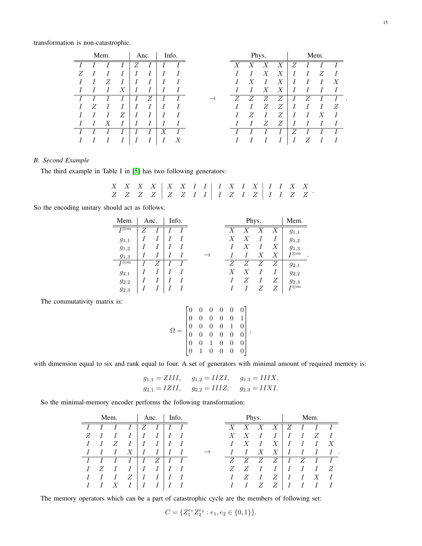transformation is non-catastrophic.

|   |   | Mem. |   |   | Anc. |   | Info. |               |   |   | Phys. |   |   |   | Mem. |   |  |
|---|---|------|---|---|------|---|-------|---------------|---|---|-------|---|---|---|------|---|--|
|   |   |      |   | 7 |      |   |       |               | Х | Х | Х     | Х | Ζ |   |      |   |  |
| Ζ |   |      |   |   |      |   |       |               |   |   | Χ     | X |   |   | Ζ    |   |  |
|   |   | Ζ    |   |   |      |   |       |               |   | Х |       | X |   |   |      | Х |  |
|   |   |      | X |   |      | 7 |       |               |   |   | Х     | X |   |   |      |   |  |
|   |   |      |   |   | Ζ    |   |       | $\rightarrow$ | Ζ | Z | Z     | Ζ |   | Z |      |   |  |
|   | Z |      |   |   |      |   |       |               |   |   | Z     | Ζ |   |   |      | Z |  |
|   |   |      | Ζ | Ι | 1    |   |       |               |   |   |       | Ζ |   |   |      |   |  |
|   |   | Х    |   |   |      |   |       |               |   |   | Z     | Ζ |   |   |      |   |  |
|   |   |      |   |   |      | Х |       |               |   |   |       |   | Ζ |   |      |   |  |
|   |   |      |   |   |      |   | Х     |               |   |   |       |   |   | Ζ |      |   |  |

# *B. Second Example*

The third example in Table I in [\[5\]](#page-13-4) has two following generators:

So the encoding unitary should act as follows:

| Mem.                       | Anc. |  | Info. |   |   | Phys. |   | Mem.            |
|----------------------------|------|--|-------|---|---|-------|---|-----------------|
| $\overline{I^{\otimes m}}$ | Ζ    |  |       | X | X | Х     | X | $g_{1,1}$       |
| $g_{1,1}$                  |      |  |       | Х | Х |       |   | $g_{1,2}$       |
| $g_{1,2}$                  |      |  |       |   | X |       | Х | $g_{1,3}$       |
| $g_{1,3}$                  |      |  |       |   |   | Х     | Х | $I^{\otimes m}$ |
| $\overline{I^{\otimes m}}$ |      |  |       | Ζ |   | Ζ     | Ζ | $g_{2,1}$       |
| $g_{2,1}$                  |      |  |       | Х |   |       |   | $g_{2,2}$       |
| $g_{2,2}$                  |      |  |       |   |   |       | Ζ | $g_{2,3}$       |
| $g_{2,3}$                  |      |  |       |   |   | Ζ     | Ζ | $I^{\otimes m}$ |

The commutativity matrix is:

$$
\Omega = \begin{bmatrix} 0 & 0 & 0 & 0 & 0 & 0 \\ 0 & 0 & 0 & 0 & 0 & 1 \\ 0 & 0 & 0 & 0 & 1 & 0 \\ 0 & 0 & 0 & 0 & 0 & 0 \\ 0 & 0 & 1 & 0 & 0 & 0 \\ 0 & 1 & 0 & 0 & 0 & 0 \end{bmatrix},
$$

with dimension equal to six and rank equal to four. A set of generators with minimal amount of required memory is:

$$
\begin{aligned} g_{1,1} &= ZIII, \quad & g_{1,2} &= IIZI, \quad & g_{1,3} &= IIIX, \\ g_{2,1} &= IZII, \quad & g_{2,2} &= IIIZ, \quad & g_{2,3} &= IIXI. \end{aligned}
$$

So the minimal-memory encoder performs the following transformation:

|   |                | Mem. |   |   | Anc. | Info. |          |                  | Phys. |   |   |   | Mem. |                      |
|---|----------------|------|---|---|------|-------|----------|------------------|-------|---|---|---|------|----------------------|
|   |                |      |   | Ζ |      |       | X        | $\boldsymbol{X}$ | X     | X | Ζ |   |      |                      |
| Ζ |                |      |   |   |      |       | Х        | X                |       |   |   | I | Ζ    |                      |
| I | $\overline{1}$ | Z    |   |   |      |       | $\prime$ | $\boldsymbol{X}$ |       | Х |   |   |      | $\boldsymbol{X}$     |
| I |                |      | X |   |      |       |          |                  | Х     | X |   |   |      | $\ddot{\phantom{0}}$ |
|   |                |      |   |   | Ζ    |       | Z        | Ζ                | Ζ     | Ζ |   | Ζ |      |                      |
| I | Z              |      |   |   |      |       | Z        | Ζ                |       |   |   |   | Ι    | Z                    |
| Ι |                |      | Ζ |   |      |       |          |                  |       | Ζ |   |   |      |                      |
|   |                |      |   |   |      |       |          |                  | Z     | Ζ |   |   |      |                      |

The memory operators which can be a part of catastrophic cycle are the members of following set:

$$
C = \{Z_1^{e_1} Z_2^{e_2} : e_1, e_2 \in \{0, 1\}\}.
$$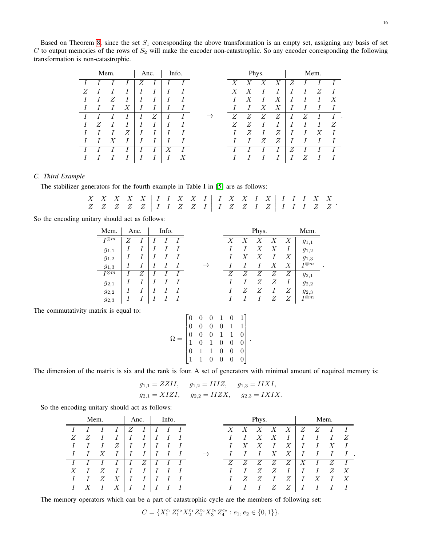| ation is non-catastrophic. |  |      |                                  |  |                                                                                |  |                                                             |       |  |      |  |
|----------------------------|--|------|----------------------------------|--|--------------------------------------------------------------------------------|--|-------------------------------------------------------------|-------|--|------|--|
|                            |  | Mem. |                                  |  | $\vert$ Anc. $\vert$ Info.                                                     |  |                                                             | Phys. |  | Mem. |  |
|                            |  |      | $I$ $I$ $I$ $I$ $Z$ $I$ $I$ $I$  |  |                                                                                |  | $X \quad X \quad X \quad X \mid Z \quad I \quad I \quad I$  |       |  |      |  |
|                            |  |      | $Z \quad I \quad I \quad I$      |  | $\begin{array}{cc} \begin{array}{ccc} & I & I & I \end{array} & I \end{array}$ |  | $X \quad X \quad I \quad I \quad I \quad I \quad Z \quad I$ |       |  |      |  |
|                            |  |      | $I \quad I \quad Z \quad I \mid$ |  |                                                                                |  | $I \quad X \quad I \quad X \mid I \quad I \quad I \quad X$  |       |  |      |  |
|                            |  |      | $I$ $I$ $I$ $X$ $I$ $I$ $I$ $I$  |  |                                                                                |  | $I$ $I$ $X$ $X$   $I$ $I$ $I$ $I$                           |       |  |      |  |

→ Z Z Z Z I Z I I

Z Z I I I I I Z

 $I$   $I$   $Z$   $Z$   $|$   $I$   $I$   $I$   $I$  $I$   $I$   $I$   $|Z$   $I$   $I$   $I$ I I I I I Z I I

 $\begin{array}{cc} I & Z & I & I & X & I \\ Z & Z & I & I & I & I \end{array}$ 

 $I$  .

Based on Theorem [8,](#page-11-4) since the set  $S_1$  corresponding the above transformation is an empty set, assigning any basis of set  $C$  to output memories of the rows of  $S_2$  will make the encoder non-catastrophic. So any encoder corresponding the following transformati

#### *C. Third Example*

The stabilizer generators for the fourth example in Table I in [\[5\]](#page-13-4) are as follows:

 $I$   $I$   $I$   $I$   $I$   $Z$   $I$   $I$  $I \quad Z \quad I \quad I \quad I \quad I \quad I \quad I$  $I$   $I$   $I$   $Z$   $I$   $I$   $I$   $I$   $I$  $I$   $I$   $X$   $I$   $I$   $I$   $I$   $I$   $I$  $I \quad I \quad I \quad I \quad I \quad I \quad X \quad I$  $I$   $I$   $I$   $I$   $I$   $I$   $I$   $X$ 

|  |  |  |  |  |  |  |  |  | $X \quad X \quad X \quad X \quad X \quad   \quad I \quad X \quad X \quad I \quad   \quad I \quad X \quad X \quad I \quad X \quad   \quad I \quad I \quad X \quad X$ |
|--|--|--|--|--|--|--|--|--|---------------------------------------------------------------------------------------------------------------------------------------------------------------------|
|  |  |  |  |  |  |  |  |  | Z Z Z Z Z $\vert I \vert I \vert Z \vert Z \vert I \vert I \vert Z \vert Z \vert I \vert I \vert Z \vert I \vert I \vert I \vert Z \vert Z \vert I$                 |

So the encoding unitary should act as follows:

| Mem.                       | Anc. |   | Info. |  |   | Phys. |                  |   | Mem.            |  |
|----------------------------|------|---|-------|--|---|-------|------------------|---|-----------------|--|
| $\overline{I^{\otimes m}}$ | Ζ    |   |       |  | Х | X     | Х                | Х | $g_{1,1}$       |  |
| $g_{1,1}$                  |      |   |       |  |   | Х     | Х                |   | $g_{1,2}$       |  |
| $g_{1,2}$                  |      |   |       |  | X | Х     |                  | Х | $g_{1,3}$       |  |
| $g_{1,3}$                  |      |   |       |  |   |       | $\boldsymbol{X}$ | Х | $I^{\otimes m}$ |  |
| $\overline{I^{\otimes m}}$ |      | Ζ |       |  | Ζ | Ζ     | Ζ                | Ζ | $g_{2,1}$       |  |
| $g_{2,1}$                  |      |   |       |  |   | Z     | Ζ                |   | $g_{2,2}$       |  |
| $g_{2,2}$                  |      |   |       |  | Ζ | Ζ     | I                | Ζ | $g_{2,3}$       |  |
| $g_{2,3}$                  |      |   |       |  |   |       | Z                | Ζ | $I^{\otimes m}$ |  |

The commutativity matrix is equal to:

$$
\Omega = \begin{bmatrix} 0 & 0 & 0 & 1 & 0 & 1 \\ 0 & 0 & 0 & 0 & 1 & 1 \\ 0 & 0 & 0 & 1 & 1 & 0 \\ 1 & 0 & 1 & 0 & 0 & 0 \\ 0 & 1 & 1 & 0 & 0 & 0 \\ 1 & 1 & 0 & 0 & 0 & 0 \end{bmatrix}
$$

.

The dimension of the matrix is six and the rank is four. A set of generators with minimal amount of required memory is:

$$
g_{1,1} = ZZII
$$
,  $g_{1,2} = IIIZ$ ,  $g_{1,3} = IIXI$ ,  
\n $g_{2,1} = XIZI$ ,  $g_{2,2} = IIZX$ ,  $g_{2,3} = IXIX$ .

So the encoding unitary should act as follows:

|                  | Mem. |   |   |   | Anc. | Info. |               |   |             | Phys. |                  |   |   |   | Mem. |       |
|------------------|------|---|---|---|------|-------|---------------|---|-------------|-------|------------------|---|---|---|------|-------|
|                  |      |   |   | Ζ |      |       |               |   | $X \quad X$ | X     | $\boldsymbol{X}$ | X | Ζ | Z |      |       |
| Ζ                | Z    |   |   |   |      |       |               | I |             | X     | X                |   |   |   |      | – Z   |
|                  |      |   | Ζ |   |      |       |               | I | X           | X     |                  | X |   |   |      |       |
| I                |      | X |   |   |      |       | $\rightarrow$ |   |             |       | X                | X |   |   |      | $I$ . |
|                  |      |   |   |   | Ζ    |       |               | Z | Z           | Z     | Z                | Ζ | X |   | Z    |       |
| $\boldsymbol{X}$ | I    | Z |   |   |      |       |               |   |             | Z     | Z                | I |   |   | Z    | X     |
|                  |      | Z | X |   |      |       |               | I | Z           |       |                  | Ζ |   |   |      | X     |
|                  |      |   |   |   |      |       |               |   |             |       | Z                | Ζ |   |   |      |       |

The memory operators which can be a part of catastrophic cycle are the members of following set:

$$
C = \{X_1^{e_1} X_1^{e_2} X_2^{e_1} X_2^{e_2} X_3^{e_2} X_4^{e_2} : e_1, e_2 \in \{0, 1\}\}.
$$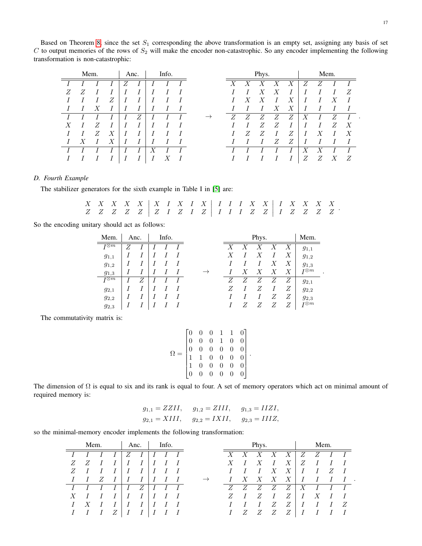Based on Theorem [8,](#page-11-4) since the set  $S_1$  corresponding the above transformation is an empty set, assigning any basis of set  $C$  to output memories of the rows of  $S_2$  will make the encoder non-catastrophic. So any encoder implementing the following transformation is non-catastrophic:

|   | Mem.<br>Anc. |   |                  |   |   | Info. |               |   |   | Phys.            |   |   |   |   | Mem. |   |
|---|--------------|---|------------------|---|---|-------|---------------|---|---|------------------|---|---|---|---|------|---|
|   |              |   |                  | Ζ |   |       |               | X | Х |                  | Х | X | Ζ | Ζ |      |   |
| Z | Ζ            |   |                  |   |   |       |               |   |   | Х                | Х |   |   |   |      | Z |
|   |              |   | Ζ                |   |   |       |               |   | X | $\boldsymbol{X}$ |   | Х |   |   | Х    |   |
|   |              |   |                  |   |   |       |               |   |   |                  | Х | Х |   |   |      |   |
|   |              |   |                  |   | Ζ |       | $\rightarrow$ | Ζ | Ζ | Ζ                | Ζ | Ζ | Х |   | Ζ    |   |
| X |              | Ζ |                  |   |   |       |               |   |   | Z                | Ζ |   |   |   | Z    | X |
|   |              | Ζ | $\boldsymbol{X}$ |   |   |       |               |   |   | Z                |   | Ζ |   | Х |      | X |
|   | Х            |   | Х                |   |   |       |               |   |   |                  | Z | Ζ |   |   |      | I |
|   |              |   |                  |   |   |       |               |   |   |                  |   |   | Λ |   |      |   |
|   |              |   |                  |   |   |       |               |   |   |                  |   |   | Ζ | Ζ |      | Z |

# *D. Fourth Example*

The stabilizer generators for the sixth example in Table I in [\[5\]](#page-13-4) are:

|  |  | $X \quad X \quad X \quad X \quad X \quad X \quad X \quad I \quad X \quad I \quad X \quad I \quad I \quad I \quad X \quad X \quad I \quad X \quad X \quad X \quad X \quad X$ |  |  |  |  |  |  |  |  |
|--|--|-----------------------------------------------------------------------------------------------------------------------------------------------------------------------------|--|--|--|--|--|--|--|--|
|  |  | Z Z Z Z Z $\vert$ Z I Z I Z $\vert$ I I I Z Z $\vert$ I Z Z Z Z $\vert$                                                                                                     |  |  |  |  |  |  |  |  |

So the encoding unitary should act as follows:

| Mem.                       | Anc. |   | Info. |  |   |   | Phys. |   |   | Mem.            |  |
|----------------------------|------|---|-------|--|---|---|-------|---|---|-----------------|--|
| $\overline{I^{\otimes m}}$ | Ζ    |   |       |  | Х | Х | Х     | Х | Х | $g_{1,1}$       |  |
| $g_{1,1}$                  |      |   |       |  | Х |   | X     | 1 | Х | $g_{1,2}$       |  |
| $g_{1,2}$                  |      |   |       |  |   |   |       | Х | Х | $g_{1,3}$       |  |
| $g_{1,3}$                  |      |   |       |  |   | X | X     | Χ | Х | $I^{\otimes m}$ |  |
| $I^{\otimes m}$            |      | Ζ |       |  |   |   |       | Ζ | Ζ | $g_{2,1}$       |  |
| $g_{2,1}$                  |      |   |       |  | Ζ |   | Ζ     | Ι | Ζ | $g_{2,2}$       |  |
| $g_{2,2}$                  |      |   |       |  |   |   |       | Ζ | Ζ | $g_{2,3}$       |  |
| $g_{2,3}$                  |      |   |       |  |   |   | Z     | Ζ | Ζ | $I^{\otimes m}$ |  |

The commutativity matrix is:

|  | $\begin{bmatrix} 0 & 0 & 0 & 1 & 1 & 0 \\ 0 & 0 & 0 & 1 & 0 & 0 \\ 0 & 0 & 0 & 0 & 0 & 0 \\ 1 & 1 & 0 & 0 & 0 & 0 \\ 1 & 0 & 0 & 0 & 0 & 0 \\ 0 & 0 & 0 & 0 & 0 & 0 \end{bmatrix}$ |  |  |
|--|------------------------------------------------------------------------------------------------------------------------------------------------------------------------------------|--|--|

.

The dimension of  $\Omega$  is equal to six and its rank is equal to four. A set of memory operators which act on minimal amount of required memory is:

$$
g_{1,1} = ZZII
$$
,  $g_{1,2} = ZIII$ ,  $g_{1,3} = IIZI$ ,  
\n $g_{2,1} = XIII$ ,  $g_{2,2} = IXII$ ,  $g_{2,3} = IIIZ$ ,

so the minimal-memory encoder implements the following transformation:

|   | Mem. |   |           |                  | Anc.          |                                          | Info. |  |       |             | Phys. |             |                |   | Mem. |   |     |                          |
|---|------|---|-----------|------------------|---------------|------------------------------------------|-------|--|-------|-------------|-------|-------------|----------------|---|------|---|-----|--------------------------|
|   |      |   |           | Ζ                |               |                                          |       |  |       | $X \quad X$ | X     | X           | X <sup>1</sup> | Z | Z    |   |     |                          |
| Z | Z    |   | $-I^{-1}$ |                  | $I^+$         |                                          |       |  | $X$ I |             | X     | I           | X              | Z | I    |   |     |                          |
| Z |      |   | $I^+$     |                  | $I \parallel$ | $\begin{array}{cc} \nI & I\n\end{array}$ |       |  |       |             | I     | X           | $X^+$          | I | I    | Z |     |                          |
|   | I    | Z | $I^+$     |                  | $I^+$         |                                          |       |  |       | X           | X     | X           | X              |   |      |   |     | $\overline{\phantom{a}}$ |
|   |      |   |           |                  | $Z$ .         |                                          |       |  |       | $Z \quad Z$ | Z     | Z           | Z              | X |      |   |     |                          |
| X |      |   | $I^+$     | I                | $I \mid$      |                                          |       |  | Ζ     | I           | Z     | I           | $Z \mid I$     |   | X    |   |     |                          |
|   |      |   | $-I^{-+}$ | I                | I             | $I \quad I$                              |       |  |       |             |       | Z           | Z              | I |      |   | - 7 |                          |
|   |      |   | Z         | $\boldsymbol{I}$ |               |                                          |       |  |       | Ζ           | Z     | $Z \quad Z$ |                |   |      |   |     |                          |

.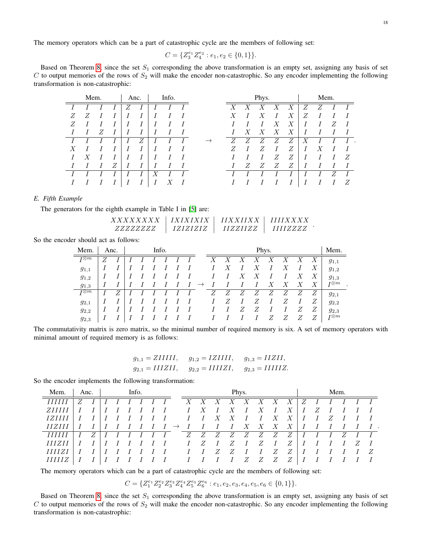The memory operators which can be a part of catastrophic cycle are the members of following set:

$$
C = \{Z_3^{e_1} Z_4^{e_2} : e_1, e_2 \in \{0, 1\}\}.
$$

Based on Theorem 8, since the set  $S_1$  corresponding the above transformation is an empty set, assigning any basis of set  $C$  to output memories of the rows of  $S_2$  will make the encoder non-catastrophic. So any encoder implementing the following transformation is non-catastrophic:

|   | Mem. |   |   |   | Anc. |   | Info. |               |   |   | Phys. |   |   |                  | Mem. |   |   |
|---|------|---|---|---|------|---|-------|---------------|---|---|-------|---|---|------------------|------|---|---|
|   |      |   |   | Ζ |      |   |       |               | Х |   |       | Х | X | Ζ                | Z    |   |   |
| Ζ | Ζ    |   |   |   |      |   |       |               | Х |   | Х     | 1 | Х | Ζ                |      |   |   |
| Ζ |      |   |   |   |      |   |       |               |   |   |       | Х | X | T                |      | Ζ | I |
|   |      | Ζ |   |   |      |   |       |               |   | Х |       | Х | X |                  |      |   |   |
|   |      |   |   |   | Ζ    |   |       | $\rightarrow$ | Ζ | Ζ | Ζ     | Z | Z | $\boldsymbol{X}$ |      |   |   |
| X |      |   |   |   |      |   |       |               | Ζ |   | Ζ     | I | Ζ |                  |      |   |   |
|   |      |   |   |   |      |   |       |               |   |   |       | Ζ | Ζ |                  |      |   | Z |
|   |      |   | Ζ |   |      |   |       |               |   | Ζ | Ζ     | Ζ | Z |                  |      |   | I |
|   |      |   |   |   |      | Х |       |               |   |   |       |   |   |                  |      | Z |   |
|   |      |   |   |   |      |   |       |               |   |   |       |   |   |                  |      |   | Z |

#### E. Fifth Example

The generators for the eighth example in Table I in [5] are:

| <i>X X X X X X X X</i> | <i>IXIXIXIX</i> | <i><b>IIX X II X X</b></i> | <i><b>IIII X X X X</b></i> |
|------------------------|-----------------|----------------------------|----------------------------|
| <i>ZZZZZZZZ</i>        | 17171717        | 11771172                   | $\bullet$<br>IIIIZZZZ      |

So the encoder should act as follows:

| Mem.                       |   | Anc. |  | Info. |  |   |   |   |   | Phys. |   |   |   | Mem.                     |
|----------------------------|---|------|--|-------|--|---|---|---|---|-------|---|---|---|--------------------------|
| $\overline{I^{\otimes m}}$ | 7 |      |  |       |  | Х | Х |   | Х | Х     | Х | Х | Х | $g_{1,1}$                |
| $g_{1,1}$                  |   |      |  |       |  |   |   |   | Х |       |   |   | Х | $g_{1,2}$                |
| $g_{1,2}$                  |   |      |  |       |  |   |   |   |   |       |   | Х | Х | $g_{1,3}$                |
| $g_{1,3}$                  |   |      |  |       |  |   |   |   |   |       | Х | X | X | $\overline{I} \otimes m$ |
| $\overline{I^{\otimes m}}$ |   | Ζ    |  |       |  | Ζ | Ζ | Ζ | Ζ | Ζ     | Ζ | Ζ | Ζ | $g_{2,1}$                |
| $g_{2,1}$                  |   |      |  |       |  |   |   |   |   |       |   |   | Ζ | $g_{2,2}$                |
| $g_{2,2}$                  |   |      |  |       |  |   |   |   |   |       |   | Ζ | Ζ | $g_{2,3}$                |
| $g_{2,3}$                  |   |      |  |       |  |   |   |   |   |       | Ζ | Ζ | Ζ | $I^{\otimes m}$          |

The commutativity matrix is zero matrix, so the minimal number of required memory is six. A set of memory operators with minimal amount of required memory is as follows:

$$
g_{1,1} = ZIIIII1
$$
,  $g_{1,2} = IZIIII1$ ,  $g_{1,3} = IIZII$ ,  
\n $g_{2,1} = IIIZII$ ,  $g_{2,2} = IIIIIZI$ ,  $g_{2,3} = IIIIIIZ$ 

So the encoder implements the following transformation:

| Mem.          | Anc. |  | Info. |  |                 |                     |                 |             | Phys. |   |       |   |   | Mem. |                  |   |                |
|---------------|------|--|-------|--|-----------------|---------------------|-----------------|-------------|-------|---|-------|---|---|------|------------------|---|----------------|
| IIIIII        |      |  |       |  |                 |                     | $X$ $X$ $X$ $X$ |             | X     |   | $X$ X | X | Z |      |                  |   |                |
| ZIIIII        |      |  |       |  |                 | $I \quad X \quad I$ |                 | X           |       | X |       | X |   |      |                  |   |                |
| <i>IZHH</i>   |      |  |       |  |                 |                     | $I$ $I$ $X$ $X$ |             |       |   | X     | X |   |      |                  |   |                |
| IIZIII        |      |  |       |  | $\rightarrow$ I | I                   | I               | $I$ X X X X |       |   |       |   |   |      |                  |   |                |
| <i>HHHH</i>   | Z    |  |       |  |                 | $Z \quad Z \quad Z$ |                 | Z           | Z     | Z | Z     | Ζ |   |      |                  |   |                |
| <i>IIIZII</i> |      |  |       |  | I               | Z                   | I               | Ζ           |       | Z |       | Ζ |   |      | $\boldsymbol{I}$ | Z | $\overline{1}$ |
| IIIIZI        |      |  |       |  | $\overline{I}$  |                     | Z               | Z           |       |   | Z     | Z |   |      |                  |   | Z              |
| <i>HHIZ</i>   |      |  |       |  |                 |                     |                 |             | Z     | Z | Z     | Ζ |   |      |                  |   |                |

The memory operators which can be a part of catastrophic cycle are the members of following set:

 $C = \{Z_1^{e_1} Z_2^{e_2} Z_3^{e_3} Z_4^{e_4} Z_5^{e_5} Z_6^{e_6} : e_1, e_2, e_3, e_4, e_5, e_6 \in \{0, 1\} \}.$ 

Based on Theorem 8, since the set  $S_1$  corresponding the above transformation is an empty set, assigning any basis of set C to output memories of the rows of  $S_2$  will make the encoder non-catastrophic. So any encoder implementing the following transformation is non-catastrophic: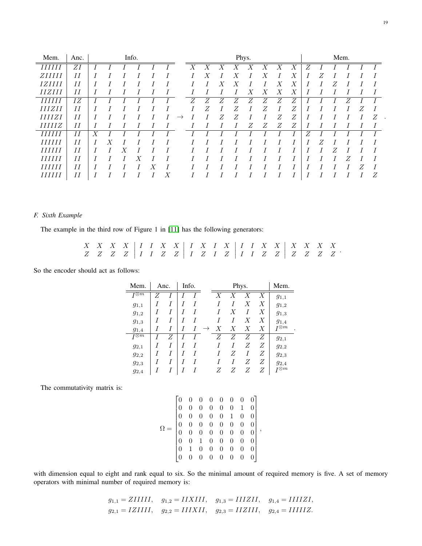| Mem.          | Anc. |   |   | Info. |   |   |   |               |                |   |   | Phys.         |   |   |   |                |   |   | Mem. |   |   |   |
|---------------|------|---|---|-------|---|---|---|---------------|----------------|---|---|---------------|---|---|---|----------------|---|---|------|---|---|---|
| IIIII         | ZI   |   |   |       |   |   |   |               | $\overline{X}$ | X | Χ | X             | X | X | X | $\overline{X}$ | Ζ |   |      |   |   |   |
| ZIIIII        | II   |   |   |       |   |   |   |               |                | Х |   | X             |   | X |   | X              |   | Ζ |      |   |   |   |
| <i>IZIIII</i> | Η    |   |   |       |   |   |   |               |                |   | Χ | Χ             |   |   | Х | X              |   | 1 | Ζ    |   |   |   |
| IIZIII        | II   |   |   |       |   |   |   |               |                |   |   |               | Χ | Χ | Х | X              |   |   |      |   |   |   |
| IIIII         | IΖ   |   |   |       |   |   |   |               | Ζ              | Ζ | Ζ | 7<br>$\prime$ | Ζ | Ζ | Ζ | Ζ              |   |   |      | Ζ |   |   |
| IIIZII        | II   |   |   |       |   |   |   |               |                | Ζ | , | Ζ             |   | Ζ |   | Ζ              |   |   |      |   | Ζ |   |
| <b>IIIIZI</b> | II   |   |   |       |   |   |   | $\rightarrow$ |                |   | Ζ | Ζ             |   |   | Ζ | Ζ              |   |   |      |   |   | Z |
| IIIIIZ        | IΙ   |   |   |       |   |   |   |               |                |   |   |               | Ζ | Ζ | Ζ | Ζ              | Ι |   |      |   |   |   |
| IIIII         | II   | X |   |       |   |   |   |               |                |   |   |               |   |   |   |                | Ζ |   |      |   |   |   |
| IIIII         | II   |   | Х |       |   |   |   |               |                |   |   |               |   |   |   |                |   | Z |      |   |   |   |
| IIIII         | Η    |   |   | Χ     |   |   |   |               |                |   |   |               |   |   |   |                |   |   | Ζ    |   |   |   |
| IIIII         | II   |   |   |       | Χ |   |   |               |                |   |   |               |   |   |   |                |   |   |      | Ζ |   |   |
| IIIII         | Η    |   |   |       |   | Χ |   |               |                |   |   |               |   |   |   |                |   |   |      |   | Ζ |   |
| IIIII         | IΙ   |   |   |       |   |   | X |               |                |   |   |               |   |   |   |                |   |   |      |   |   | Z |

# F. Sixth Example

The example in the third row of Figure 1 in [11] has the following generators:

|  | Z Z Z Z $1 I Z Z$ I Z $2 I Z$ I Z $1 I Z Z Z$ Z $2 Z Z Z$ |  |  |  |  |  |  |  |  |
|--|-----------------------------------------------------------|--|--|--|--|--|--|--|--|

So the encoder should act as follows:

| Mem.                       |   | Anc. |   | Info. |   |   | Phys. |                  | Mem.            |
|----------------------------|---|------|---|-------|---|---|-------|------------------|-----------------|
| $\overline{I^{\otimes m}}$ | Ζ |      |   |       | X | X | Х     | $\boldsymbol{X}$ | $g_{1,1}$       |
| $g_{1,1}$                  | I | I    | I | 1     |   | I | Х     | $\boldsymbol{X}$ | $g_{1,2}$       |
| $g_{1,2}$                  | I | I    | I | I     |   | X | I     | X                | $g_{1,3}$       |
| $g_{1,3}$                  | I | I    |   |       |   | 1 | Х     | X                | $g_{1,4}$       |
| $g_{1,4}$                  | I | I    |   | 1     | X | X | Х     | X                | $I^{\otimes m}$ |
| $\overline{I^{\otimes m}}$ | Ι | Ζ    |   |       | Ζ | Ζ | Ζ     | Ζ                | $g_{2,1}$       |
| $g_{2,1}$                  |   | I    | I |       |   | I | Ζ     | Ζ                | $g_{2,2}$       |
| $g_{2,2}$                  | I | I    | I | 1     |   | Ζ | I     | Ζ                | $g_{2,3}$       |
| $g_{2,3}$                  | I | I    | I |       |   | I | Ζ     | Ζ                | $g_{2,4}$       |
| $g_{2,4}$                  |   | Ī    |   |       | Ζ | Ζ | Ζ     | Ζ                | $I^{\otimes m}$ |

The commutativity matrix is:

|  |  |  | $\begin{bmatrix} 0 & 0 & 0 & 0 & 0 & 0 & 0 & 0 \ 0 & 0 & 0 & 0 & 0 & 0 & 1 & 0 \ 0 & 0 & 0 & 0 & 0 & 1 & 0 & 0 \ 0 & 0 & 0 & 0 & 0 & 0 & 0 & 0 \ 0 & 0 & 0 & 0 & 0 & 0 & 0 & 0 \ 0 & 0 & 1 & 0 & 0 & 0 & 0 & 0 \ 0 & 1 & 0 & 0 & 0 & 0 & 0 & 0 \ 0 & 0 & 0 & 0 & 0 & 0 & 0 & 0 \end{bmatrix}$ |  |  |
|--|--|--|-----------------------------------------------------------------------------------------------------------------------------------------------------------------------------------------------------------------------------------------------------------------------------------------------|--|--|

with dimension equal to eight and rank equal to six. So the minimal amount of required memory is five. A set of memory operators with minimal number of required memory is:

$$
g_{1,1} = ZIIIII
$$
,  $g_{1,2} = IIXIII$ ,  $g_{1,3} = IIIZII$ ,  $g_{1,4} = IIIIZI$ ,  
\n $g_{2,1} = IZIIII$ ,  $g_{2,2} = IIIXII$ ,  $g_{2,3} = IIZIII$ ,  $g_{2,4} = IIIIIZ$ .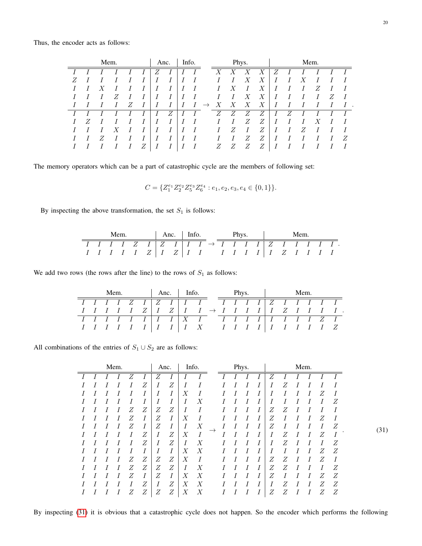Thus, the encoder acts as follows:

|   |   | Mem. |   |   | Anc. |   |   | Info. |               |                  | Phys. |   |                  |   |   |   | Mem. |   |   |
|---|---|------|---|---|------|---|---|-------|---------------|------------------|-------|---|------------------|---|---|---|------|---|---|
|   |   |      |   |   | Ζ    | ı |   |       |               | Х                | X     | X | X                | Ζ |   |   |      |   | T |
| Ζ |   |      |   |   |      |   |   |       |               |                  |       | X | $\boldsymbol{X}$ | 1 |   |   |      |   |   |
|   | Х |      |   |   |      |   |   | I     |               |                  | X     |   | X                |   |   |   | Ζ    |   |   |
|   |   |      |   |   |      |   |   | I     |               |                  |       | Х | Х                |   |   |   |      | Ζ |   |
|   |   |      | Ζ | Ι |      | Ι | 1 | 1     | $\rightarrow$ | $\boldsymbol{X}$ | Χ     | Х | X                | 1 |   |   |      |   |   |
|   |   |      |   |   |      | Ζ |   |       |               | Ζ                | Ζ     | Ζ | Ζ                |   | Ζ |   |      |   |   |
|   |   |      |   |   |      |   |   |       |               |                  |       | Ζ | Ζ                |   |   |   | Х    |   |   |
|   |   |      |   |   |      |   |   |       |               |                  | Ζ     | 1 | Ζ                | 1 |   | Ζ |      |   |   |
|   | Z |      |   |   |      |   |   | I     |               |                  |       | Ζ | Ζ                |   |   |   |      |   | Z |
|   |   |      |   | Ζ |      |   |   |       |               | Ζ                | Ζ     | Ζ | Ζ                |   |   |   |      |   |   |

The memory operators which can be a part of catastrophic cycle are the members of following set:

$$
C = \{Z_1^{e_1} Z_2^{e_2} Z_5^{e_3} Z_6^{e_4} : e_1, e_2, e_3, e_4 \in \{0, 1\}\}.
$$

By inspecting the above transformation, the set  $S_1$  is follows:

|  |  |  | $ $ Anc. $ $ Info. |  | Phys. |  |  | Mem |  |                                                                                                                                                   |
|--|--|--|--------------------|--|-------|--|--|-----|--|---------------------------------------------------------------------------------------------------------------------------------------------------|
|  |  |  |                    |  |       |  |  |     |  |                                                                                                                                                   |
|  |  |  |                    |  |       |  |  |     |  | $I \quad I \quad I \quad I \quad I \quad Z \mid I \quad Z \mid I \quad I \quad I \quad I \quad I \quad I \quad I \quad I \quad I \quad I \quad I$ |

We add two rows (the rows after the line) to the rows of  $S_1$  as follows:

|  | Mem. |  |  | Anc. Info.                                                                                                                                                           |  |  |  | Phys. 1 Mem. |  |  |  |
|--|------|--|--|----------------------------------------------------------------------------------------------------------------------------------------------------------------------|--|--|--|--------------|--|--|--|
|  |      |  |  |                                                                                                                                                                      |  |  |  |              |  |  |  |
|  |      |  |  | $I \quad I \quad I \quad I \quad I \quad Z \mid I \quad Z \mid I \quad I \quad \rightarrow I \quad I \quad I \quad I \mid I \quad Z \quad I \quad I \quad I \quad I$ |  |  |  |              |  |  |  |
|  |      |  |  | $I \quad I \quad I \quad I \quad I \quad I \quad I \quad I \quad X \quad I \quad I \quad I \quad I \quad I \quad I \quad I \quad I \quad Z \quad I$                  |  |  |  |              |  |  |  |
|  |      |  |  |                                                                                                                                                                      |  |  |  |              |  |  |  |

All combinations of the entries of  $S_1 \cup S_2$  are as follows:

<span id="page-20-0"></span>

|  | Mem. |   |   | Anc.     |                   | Info.            |          | Phys. |  |  |   | Mem.                |   |  |  |   |                |  |
|--|------|---|---|----------|-------------------|------------------|----------|-------|--|--|---|---------------------|---|--|--|---|----------------|--|
|  |      | Z | I | Ζ        | Ι                 |                  |          |       |  |  | Ī | Ζ                   |   |  |  |   | $\overline{I}$ |  |
|  |      |   | Ζ | Ι        | Ζ                 | Ι                |          |       |  |  |   | T                   | Ζ |  |  |   | Ι              |  |
|  |      |   | Ι | Ι        | Ι                 | Х                |          |       |  |  | Ι | ı                   |   |  |  | Ζ | Ι              |  |
|  |      |   | Ι | ı        | $\mathbf{r}$<br>ı |                  | Х        |       |  |  | Ι |                     |   |  |  |   | Ζ              |  |
|  |      | Ζ | Z | Ζ        | Ζ                 | Ι                |          |       |  |  | Ι | Ζ                   | Ζ |  |  |   | I              |  |
|  |      | Ζ | Ι | Ζ        | $\mathbf{r}$<br>ı | Х                |          |       |  |  | I | Ζ                   |   |  |  | Ζ | Ι              |  |
|  |      | Ζ | Ι | Ζ        | Ι                 | Ι                | X        |       |  |  | Ι | Ζ                   |   |  |  | Ι | Ζ              |  |
|  |      |   | Ζ | Ι        | Ζ                 | Х                | $\prime$ |       |  |  |   | $\mathbf{r}$        | Ζ |  |  | Ζ | T<br>1         |  |
|  |      |   | Ζ | Ι        | Ζ                 | Ι                | X        |       |  |  | Ι | $\mathbf{r}$<br>ī   | Ζ |  |  | 7 | Ζ              |  |
|  |      |   | Ι | Ι        | Ι                 | $\boldsymbol{X}$ | Χ        |       |  |  | I |                     |   |  |  | Ζ | Ζ              |  |
|  |      | Ζ | Ζ | Ζ        | Ζ                 | X                |          |       |  |  | Ι | Ζ                   | Ζ |  |  | Ζ | Ι              |  |
|  |      | Ζ | Ζ | Ζ        | Z                 | Ι                | Χ        |       |  |  | Ι | Ζ                   | Ζ |  |  |   | Ζ              |  |
|  |      | Ζ | I | Z        | ı                 | Х                | Х        |       |  |  | Ι | Ζ                   |   |  |  | Ζ | Ζ              |  |
|  |      |   | Ζ | $\cal I$ | Ζ                 | X                | X        |       |  |  | Ι | $\overline{I}$<br>T | Ζ |  |  | Ζ | Ζ              |  |
|  |      | Ζ | Ζ | Ζ        | Ζ                 | X                | Х        |       |  |  |   | Ζ                   | Ζ |  |  | Ζ | Ζ              |  |

By inspecting (31) it is obvious that a catastrophic cycle does not happen. So the encoder which performs the following

 $(31)$